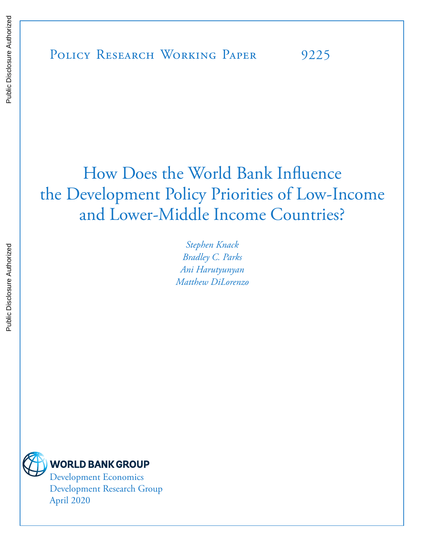# How Does the World Bank Influence the Development Policy Priorities of Low-Income and Lower-Middle Income Countries?

*Stephen Knack Bradley C. Parks Ani Harutyunyan Matthew DiLorenzo*



Development Economics Development Research Group April 2020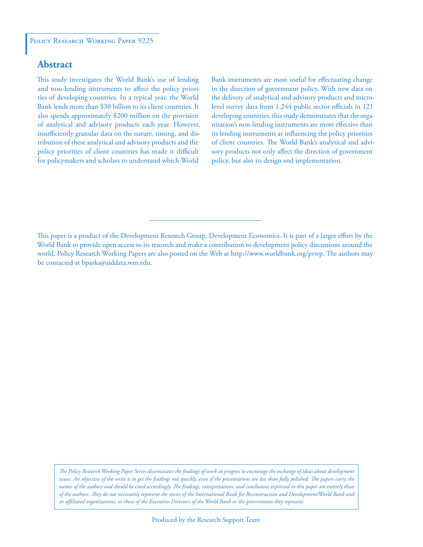### **Abstract**

This study investigates the World Bank's use of lending and non-lending instruments to affect the policy priorities of developing countries. In a typical year, the World Bank lends more than \$30 billion to its client countries. It also spends approximately \$200 million on the provision of analytical and advisory products each year. However, insufficiently granular data on the nature, timing, and distribution of these analytical and advisory products and the policy priorities of client countries has made it difficult for policymakers and scholars to understand which World

Bank instruments are most useful for effectuating change in the direction of government policy. With new data on the delivery of analytical and advisory products and microlevel survey data from 1,244 public sector officials in 121 developing countries, this study demonstrates that the organization's non-lending instruments are more effective than its lending instruments at influencing the policy priorities of client countries. The World Bank's analytical and advisory products not only affect the direction of government policy, but also its design and implementation.

*The Policy Research Working Paper Series disseminates the findings of work in progress to encourage the exchange of ideas about development*  issues. An objective of the series is to get the findings out quickly, even if the presentations are less than fully polished. The papers carry the *names of the authors and should be cited accordingly. The findings, interpretations, and conclusions expressed in this paper are entirely those of the authors. They do not necessarily represent the views of the International Bank for Reconstruction and Development/World Bank and its affiliated organizations, or those of the Executive Directors of the World Bank or the governments they represent.*

This paper is a product of the Development Research Group, Development Economics. It is part of a larger effort by the World Bank to provide open access to its research and make a contribution to development policy discussions around the world. Policy Research Working Papers are also posted on the Web at http://www.worldbank.org/prwp. The authors may be contacted at bparks@aiddata.wm.edu.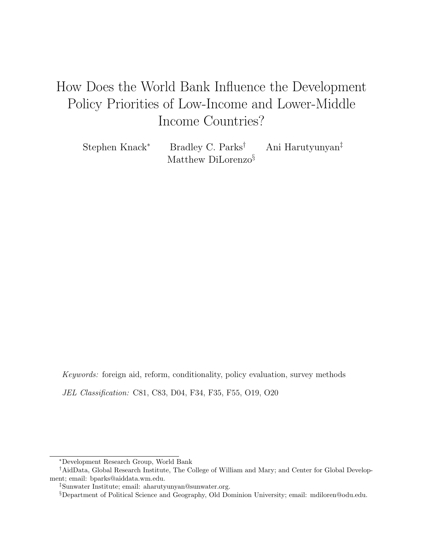# How Does the World Bank Influence the Development Policy Priorities of Low-Income and Lower-Middle Income Countries?

Stephen Knack<sup>∗</sup> Bradley C. Parks<sup>†</sup> Ani Harutyunyan<sup>‡</sup> Matthew DiLorenzo<sup>§</sup>

Keywords: foreign aid, reform, conditionality, policy evaluation, survey methods JEL Classification: C81, C83, D04, F34, F35, F55, O19, O20

<sup>∗</sup>Development Research Group, World Bank

<sup>†</sup>AidData, Global Research Institute, The College of William and Mary; and Center for Global Development; email: bparks@aiddata.wm.edu.

<sup>‡</sup>Sunwater Institute; email: aharutyunyan@sunwater.org.

<sup>§</sup>Department of Political Science and Geography, Old Dominion University; email: mdiloren@odu.edu.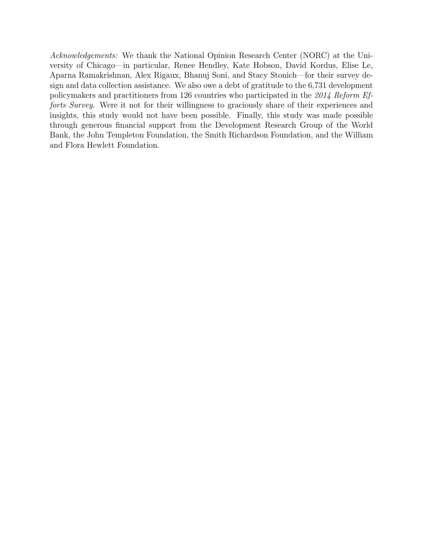Acknowledgements: We thank the National Opinion Research Center (NORC) at the University of Chicago—in particular, Renee Hendley, Kate Hobson, David Kordus, Elise Le, Aparna Ramakrishnan, Alex Rigaux, Bhanuj Soni, and Stacy Stonich—for their survey design and data collection assistance. We also owe a debt of gratitude to the 6,731 development policymakers and practitioners from 126 countries who participated in the 2014 Reform Efforts Survey. Were it not for their willingness to graciously share of their experiences and insights, this study would not have been possible. Finally, this study was made possible through generous financial support from the Development Research Group of the World Bank, the John Templeton Foundation, the Smith Richardson Foundation, and the William and Flora Hewlett Foundation.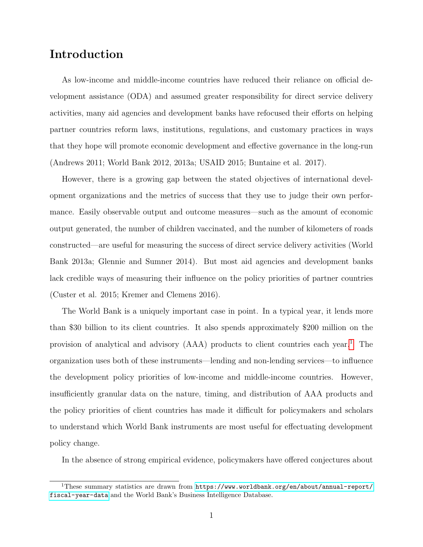### Introduction

As low-income and middle-income countries have reduced their reliance on official development assistance (ODA) and assumed greater responsibility for direct service delivery activities, many aid agencies and development banks have refocused their efforts on helping partner countries reform laws, institutions, regulations, and customary practices in ways that they hope will promote economic development and effective governance in the long-run (Andrews 2011; World Bank 2012, 2013a; USAID 2015; Buntaine et al. 2017).

However, there is a growing gap between the stated objectives of international development organizations and the metrics of success that they use to judge their own performance. Easily observable output and outcome measures—such as the amount of economic output generated, the number of children vaccinated, and the number of kilometers of roads constructed—are useful for measuring the success of direct service delivery activities (World Bank 2013a; Glennie and Sumner 2014). But most aid agencies and development banks lack credible ways of measuring their influence on the policy priorities of partner countries (Custer et al. 2015; Kremer and Clemens 2016).

The World Bank is a uniquely important case in point. In a typical year, it lends more than \$30 billion to its client countries. It also spends approximately \$200 million on the provision of analytical and advisory  $(AAA)$  products to client countries each year.<sup>[1](#page-4-0)</sup> The organization uses both of these instruments—lending and non-lending services—to influence the development policy priorities of low-income and middle-income countries. However, insufficiently granular data on the nature, timing, and distribution of AAA products and the policy priorities of client countries has made it difficult for policymakers and scholars to understand which World Bank instruments are most useful for effectuating development policy change.

In the absence of strong empirical evidence, policymakers have offered conjectures about

<span id="page-4-0"></span><sup>&</sup>lt;sup>1</sup>These summary statistics are drawn from  $https://www.worIdbank.org/en/about/annual-report/$ [fiscal-year-data](https://www.worldbank.org/en/about/annual-report/fiscal-year-data) and the World Bank's Business Intelligence Database.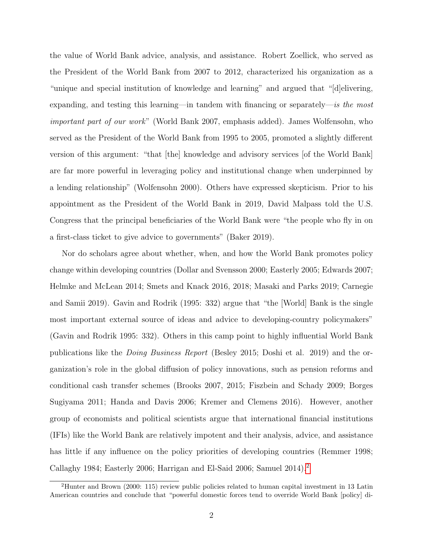the value of World Bank advice, analysis, and assistance. Robert Zoellick, who served as the President of the World Bank from 2007 to 2012, characterized his organization as a "unique and special institution of knowledge and learning" and argued that "[d]elivering, expanding, and testing this learning—in tandem with financing or separately—is the most important part of our work" (World Bank 2007, emphasis added). James Wolfensohn, who served as the President of the World Bank from 1995 to 2005, promoted a slightly different version of this argument: "that |the| knowledge and advisory services |of the World Bank] are far more powerful in leveraging policy and institutional change when underpinned by a lending relationship" (Wolfensohn 2000). Others have expressed skepticism. Prior to his appointment as the President of the World Bank in 2019, David Malpass told the U.S. Congress that the principal beneficiaries of the World Bank were "the people who fly in on a first-class ticket to give advice to governments" (Baker 2019).

Nor do scholars agree about whether, when, and how the World Bank promotes policy change within developing countries (Dollar and Svensson 2000; Easterly 2005; Edwards 2007; Helmke and McLean 2014; Smets and Knack 2016, 2018; Masaki and Parks 2019; Carnegie and Samii 2019). Gavin and Rodrik (1995: 332) argue that "the [World] Bank is the single most important external source of ideas and advice to developing-country policymakers" (Gavin and Rodrik 1995: 332). Others in this camp point to highly influential World Bank publications like the Doing Business Report (Besley 2015; Doshi et al. 2019) and the organization's role in the global diffusion of policy innovations, such as pension reforms and conditional cash transfer schemes (Brooks 2007, 2015; Fiszbein and Schady 2009; Borges Sugiyama 2011; Handa and Davis 2006; Kremer and Clemens 2016). However, another group of economists and political scientists argue that international financial institutions (IFIs) like the World Bank are relatively impotent and their analysis, advice, and assistance has little if any influence on the policy priorities of developing countries (Remmer 1998; Callaghy 1984; Easterly 2006; Harrigan and El-Said 2006; Samuel 2014).[2](#page-5-0)

<span id="page-5-0"></span><sup>2</sup>Hunter and Brown (2000: 115) review public policies related to human capital investment in 13 Latin American countries and conclude that "powerful domestic forces tend to override World Bank [policy] di-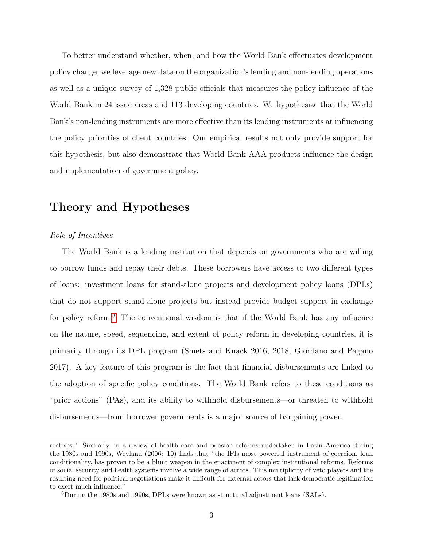To better understand whether, when, and how the World Bank effectuates development policy change, we leverage new data on the organization's lending and non-lending operations as well as a unique survey of 1,328 public officials that measures the policy influence of the World Bank in 24 issue areas and 113 developing countries. We hypothesize that the World Bank's non-lending instruments are more effective than its lending instruments at influencing the policy priorities of client countries. Our empirical results not only provide support for this hypothesis, but also demonstrate that World Bank AAA products influence the design and implementation of government policy.

### Theory and Hypotheses

#### Role of Incentives

The World Bank is a lending institution that depends on governments who are willing to borrow funds and repay their debts. These borrowers have access to two different types of loans: investment loans for stand-alone projects and development policy loans (DPLs) that do not support stand-alone projects but instead provide budget support in exchange for policy reform.<sup>[3](#page-6-0)</sup> The conventional wisdom is that if the World Bank has any influence on the nature, speed, sequencing, and extent of policy reform in developing countries, it is primarily through its DPL program (Smets and Knack 2016, 2018; Giordano and Pagano 2017). A key feature of this program is the fact that financial disbursements are linked to the adoption of specific policy conditions. The World Bank refers to these conditions as "prior actions" (PAs), and its ability to withhold disbursements—or threaten to withhold disbursements—from borrower governments is a major source of bargaining power.

rectives." Similarly, in a review of health care and pension reforms undertaken in Latin America during the 1980s and 1990s, Weyland (2006: 10) finds that "the IFIs most powerful instrument of coercion, loan conditionality, has proven to be a blunt weapon in the enactment of complex institutional reforms. Reforms of social security and health systems involve a wide range of actors. This multiplicity of veto players and the resulting need for political negotiations make it difficult for external actors that lack democratic legitimation to exert much influence."

<span id="page-6-0"></span><sup>3</sup>During the 1980s and 1990s, DPLs were known as structural adjustment loans (SALs).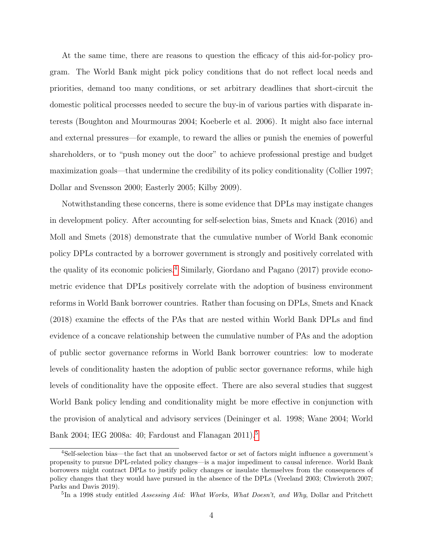At the same time, there are reasons to question the efficacy of this aid-for-policy program. The World Bank might pick policy conditions that do not reflect local needs and priorities, demand too many conditions, or set arbitrary deadlines that short-circuit the domestic political processes needed to secure the buy-in of various parties with disparate interests (Boughton and Mourmouras 2004; Koeberle et al. 2006). It might also face internal and external pressures—for example, to reward the allies or punish the enemies of powerful shareholders, or to "push money out the door" to achieve professional prestige and budget maximization goals—that undermine the credibility of its policy conditionality (Collier 1997; Dollar and Svensson 2000; Easterly 2005; Kilby 2009).

Notwithstanding these concerns, there is some evidence that DPLs may instigate changes in development policy. After accounting for self-selection bias, Smets and Knack (2016) and Moll and Smets (2018) demonstrate that the cumulative number of World Bank economic policy DPLs contracted by a borrower government is strongly and positively correlated with the quality of its economic policies.<sup>[4](#page-7-0)</sup> Similarly, Giordano and Pagano (2017) provide econometric evidence that DPLs positively correlate with the adoption of business environment reforms in World Bank borrower countries. Rather than focusing on DPLs, Smets and Knack (2018) examine the effects of the PAs that are nested within World Bank DPLs and find evidence of a concave relationship between the cumulative number of PAs and the adoption of public sector governance reforms in World Bank borrower countries: low to moderate levels of conditionality hasten the adoption of public sector governance reforms, while high levels of conditionality have the opposite effect. There are also several studies that suggest World Bank policy lending and conditionality might be more effective in conjunction with the provision of analytical and advisory services (Deininger et al. 1998; Wane 2004; World Bank 2004; IEG 2008a: 40; Fardoust and Flanagan 2011).[5](#page-7-1)

<span id="page-7-0"></span><sup>4</sup>Self-selection bias—the fact that an unobserved factor or set of factors might influence a government's propensity to pursue DPL-related policy changes—is a major impediment to causal inference. World Bank borrowers might contract DPLs to justify policy changes or insulate themselves from the consequences of policy changes that they would have pursued in the absence of the DPLs (Vreeland 2003; Chwieroth 2007; Parks and Davis 2019).

<span id="page-7-1"></span><sup>&</sup>lt;sup>5</sup>In a 1998 study entitled Assessing Aid: What Works, What Doesn't, and Why, Dollar and Pritchett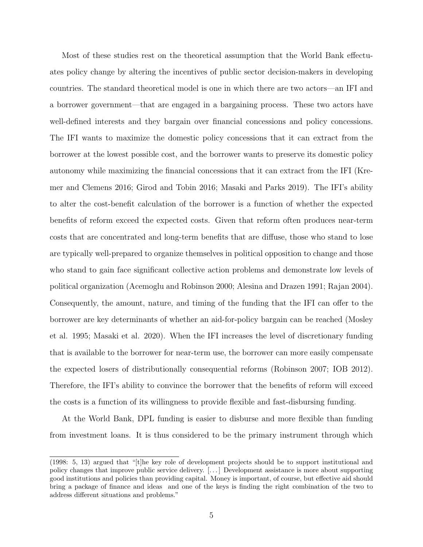Most of these studies rest on the theoretical assumption that the World Bank effectuates policy change by altering the incentives of public sector decision-makers in developing countries. The standard theoretical model is one in which there are two actors—an IFI and a borrower government—that are engaged in a bargaining process. These two actors have well-defined interests and they bargain over financial concessions and policy concessions. The IFI wants to maximize the domestic policy concessions that it can extract from the borrower at the lowest possible cost, and the borrower wants to preserve its domestic policy autonomy while maximizing the financial concessions that it can extract from the IFI (Kremer and Clemens 2016; Girod and Tobin 2016; Masaki and Parks 2019). The IFI's ability to alter the cost-benefit calculation of the borrower is a function of whether the expected benefits of reform exceed the expected costs. Given that reform often produces near-term costs that are concentrated and long-term benefits that are diffuse, those who stand to lose are typically well-prepared to organize themselves in political opposition to change and those who stand to gain face significant collective action problems and demonstrate low levels of political organization (Acemoglu and Robinson 2000; Alesina and Drazen 1991; Rajan 2004). Consequently, the amount, nature, and timing of the funding that the IFI can offer to the borrower are key determinants of whether an aid-for-policy bargain can be reached (Mosley et al. 1995; Masaki et al. 2020). When the IFI increases the level of discretionary funding that is available to the borrower for near-term use, the borrower can more easily compensate the expected losers of distributionally consequential reforms (Robinson 2007; IOB 2012). Therefore, the IFI's ability to convince the borrower that the benefits of reform will exceed the costs is a function of its willingness to provide flexible and fast-disbursing funding.

At the World Bank, DPL funding is easier to disburse and more flexible than funding from investment loans. It is thus considered to be the primary instrument through which

<sup>(1998: 5, 13)</sup> argued that "[t]he key role of development projects should be to support institutional and policy changes that improve public service delivery. [. . . ] Development assistance is more about supporting good institutions and policies than providing capital. Money is important, of course, but effective aid should bring a package of finance and ideas and one of the keys is finding the right combination of the two to address different situations and problems."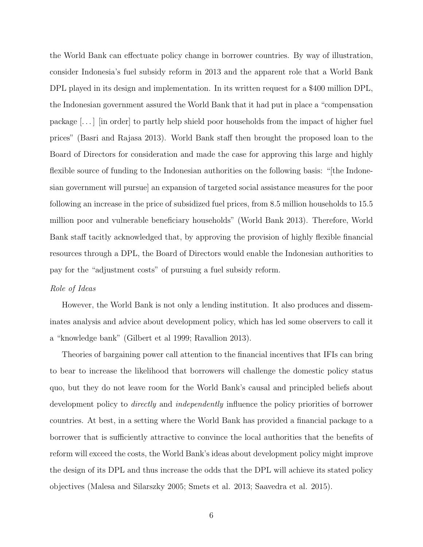the World Bank can effectuate policy change in borrower countries. By way of illustration, consider Indonesia's fuel subsidy reform in 2013 and the apparent role that a World Bank DPL played in its design and implementation. In its written request for a \$400 million DPL, the Indonesian government assured the World Bank that it had put in place a "compensation package [. . . ] [in order] to partly help shield poor households from the impact of higher fuel prices" (Basri and Rajasa 2013). World Bank staff then brought the proposed loan to the Board of Directors for consideration and made the case for approving this large and highly flexible source of funding to the Indonesian authorities on the following basis: "[the Indonesian government will pursue] an expansion of targeted social assistance measures for the poor following an increase in the price of subsidized fuel prices, from 8.5 million households to 15.5 million poor and vulnerable beneficiary households" (World Bank 2013). Therefore, World Bank staff tacitly acknowledged that, by approving the provision of highly flexible financial resources through a DPL, the Board of Directors would enable the Indonesian authorities to pay for the "adjustment costs" of pursuing a fuel subsidy reform.

#### Role of Ideas

However, the World Bank is not only a lending institution. It also produces and disseminates analysis and advice about development policy, which has led some observers to call it a "knowledge bank" (Gilbert et al 1999; Ravallion 2013).

Theories of bargaining power call attention to the financial incentives that IFIs can bring to bear to increase the likelihood that borrowers will challenge the domestic policy status quo, but they do not leave room for the World Bank's causal and principled beliefs about development policy to *directly* and *independently* influence the policy priorities of borrower countries. At best, in a setting where the World Bank has provided a financial package to a borrower that is sufficiently attractive to convince the local authorities that the benefits of reform will exceed the costs, the World Bank's ideas about development policy might improve the design of its DPL and thus increase the odds that the DPL will achieve its stated policy objectives (Malesa and Silarszky 2005; Smets et al. 2013; Saavedra et al. 2015).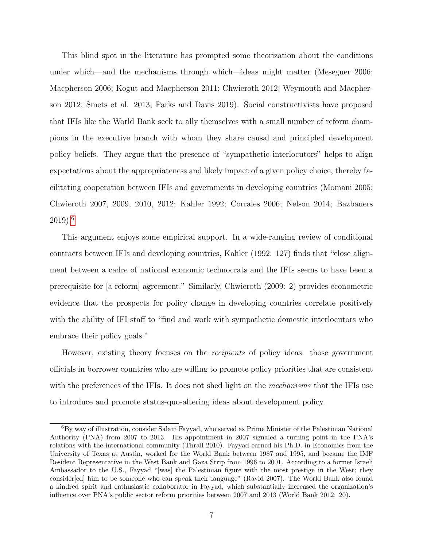This blind spot in the literature has prompted some theorization about the conditions under which—and the mechanisms through which—ideas might matter (Meseguer 2006; Macpherson 2006; Kogut and Macpherson 2011; Chwieroth 2012; Weymouth and Macpherson 2012; Smets et al. 2013; Parks and Davis 2019). Social constructivists have proposed that IFIs like the World Bank seek to ally themselves with a small number of reform champions in the executive branch with whom they share causal and principled development policy beliefs. They argue that the presence of "sympathetic interlocutors" helps to align expectations about the appropriateness and likely impact of a given policy choice, thereby facilitating cooperation between IFIs and governments in developing countries (Momani 2005; Chwieroth 2007, 2009, 2010, 2012; Kahler 1992; Corrales 2006; Nelson 2014; Bazbauers 2019).[6](#page-10-0)

This argument enjoys some empirical support. In a wide-ranging review of conditional contracts between IFIs and developing countries, Kahler (1992: 127) finds that "close alignment between a cadre of national economic technocrats and the IFIs seems to have been a prerequisite for [a reform] agreement." Similarly, Chwieroth (2009: 2) provides econometric evidence that the prospects for policy change in developing countries correlate positively with the ability of IFI staff to "find and work with sympathetic domestic interlocutors who embrace their policy goals."

However, existing theory focuses on the recipients of policy ideas: those government officials in borrower countries who are willing to promote policy priorities that are consistent with the preferences of the IFIs. It does not shed light on the *mechanisms* that the IFIs use to introduce and promote status-quo-altering ideas about development policy.

<span id="page-10-0"></span><sup>6</sup>By way of illustration, consider Salam Fayyad, who served as Prime Minister of the Palestinian National Authority (PNA) from 2007 to 2013. His appointment in 2007 signaled a turning point in the PNA's relations with the international community (Thrall 2010). Fayyad earned his Ph.D. in Economics from the University of Texas at Austin, worked for the World Bank between 1987 and 1995, and became the IMF Resident Representative in the West Bank and Gaza Strip from 1996 to 2001. According to a former Israeli Ambassador to the U.S., Fayyad "[was] the Palestinian figure with the most prestige in the West; they consider[ed] him to be someone who can speak their language" (Ravid 2007). The World Bank also found a kindred spirit and enthusiastic collaborator in Fayyad, which substantially increased the organization's influence over PNA's public sector reform priorities between 2007 and 2013 (World Bank 2012: 20).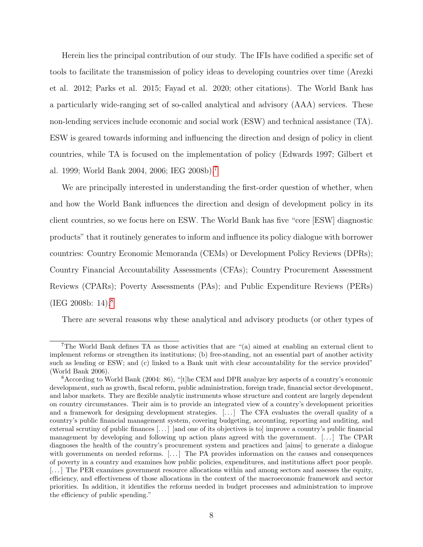Herein lies the principal contribution of our study. The IFIs have codified a specific set of tools to facilitate the transmission of policy ideas to developing countries over time (Arezki et al. 2012; Parks et al. 2015; Fayad et al. 2020; other citations). The World Bank has a particularly wide-ranging set of so-called analytical and advisory (AAA) services. These non-lending services include economic and social work (ESW) and technical assistance (TA). ESW is geared towards informing and influencing the direction and design of policy in client countries, while TA is focused on the implementation of policy (Edwards 1997; Gilbert et al. 1999; World Bank 2004, 2006; IEG 2008b).[7](#page-11-0)

We are principally interested in understanding the first-order question of whether, when and how the World Bank influences the direction and design of development policy in its client countries, so we focus here on ESW. The World Bank has five "core [ESW] diagnostic products" that it routinely generates to inform and influence its policy dialogue with borrower countries: Country Economic Memoranda (CEMs) or Development Policy Reviews (DPRs); Country Financial Accountability Assessments (CFAs); Country Procurement Assessment Reviews (CPARs); Poverty Assessments (PAs); and Public Expenditure Reviews (PERs) (IEG 200[8](#page-11-1)b: 14).<sup>8</sup>

There are several reasons why these analytical and advisory products (or other types of

<span id="page-11-0"></span><sup>7</sup>The World Bank defines TA as those activities that are "(a) aimed at enabling an external client to implement reforms or strengthen its institutions; (b) free-standing, not an essential part of another activity such as lending or ESW; and (c) linked to a Bank unit with clear accountability for the service provided" (World Bank 2006).

<span id="page-11-1"></span><sup>8</sup>According to World Bank (2004: 86), "[t]he CEM and DPR analyze key aspects of a country's economic development, such as growth, fiscal reform, public administration, foreign trade, financial sector development, and labor markets. They are flexible analytic instruments whose structure and content are largely dependent on country circumstances. Their aim is to provide an integrated view of a country's development priorities and a framework for designing development strategies. [...] The CFA evaluates the overall quality of a country's public financial management system, covering budgeting, accounting, reporting and auditing, and external scrutiny of public finances [. . . ] [and one of its objectives is to] improve a country's public financial management by developing and following up action plans agreed with the government.  $[...]$  The CPAR diagnoses the health of the country's procurement system and practices and [aims] to generate a dialogue with governments on needed reforms. [...] The PA provides information on the causes and consequences of poverty in a country and examines how public policies, expenditures, and institutions affect poor people. [. . . ] The PER examines government resource allocations within and among sectors and assesses the equity, efficiency, and effectiveness of those allocations in the context of the macroeconomic framework and sector priorities. In addition, it identifies the reforms needed in budget processes and administration to improve the efficiency of public spending."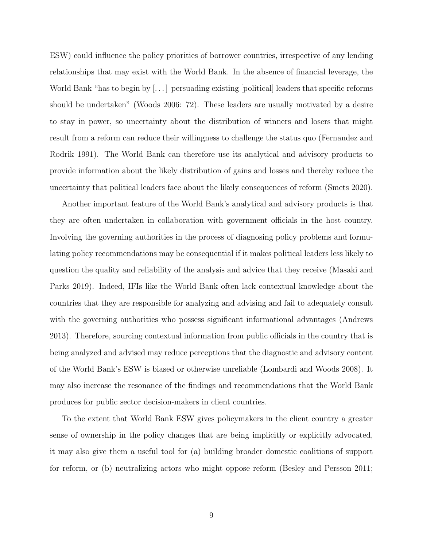ESW) could influence the policy priorities of borrower countries, irrespective of any lending relationships that may exist with the World Bank. In the absence of financial leverage, the World Bank "has to begin by [. . . ] persuading existing [political] leaders that specific reforms should be undertaken" (Woods 2006: 72). These leaders are usually motivated by a desire to stay in power, so uncertainty about the distribution of winners and losers that might result from a reform can reduce their willingness to challenge the status quo (Fernandez and Rodrik 1991). The World Bank can therefore use its analytical and advisory products to provide information about the likely distribution of gains and losses and thereby reduce the uncertainty that political leaders face about the likely consequences of reform (Smets 2020).

Another important feature of the World Bank's analytical and advisory products is that they are often undertaken in collaboration with government officials in the host country. Involving the governing authorities in the process of diagnosing policy problems and formulating policy recommendations may be consequential if it makes political leaders less likely to question the quality and reliability of the analysis and advice that they receive (Masaki and Parks 2019). Indeed, IFIs like the World Bank often lack contextual knowledge about the countries that they are responsible for analyzing and advising and fail to adequately consult with the governing authorities who possess significant informational advantages (Andrews 2013). Therefore, sourcing contextual information from public officials in the country that is being analyzed and advised may reduce perceptions that the diagnostic and advisory content of the World Bank's ESW is biased or otherwise unreliable (Lombardi and Woods 2008). It may also increase the resonance of the findings and recommendations that the World Bank produces for public sector decision-makers in client countries.

To the extent that World Bank ESW gives policymakers in the client country a greater sense of ownership in the policy changes that are being implicitly or explicitly advocated, it may also give them a useful tool for (a) building broader domestic coalitions of support for reform, or (b) neutralizing actors who might oppose reform (Besley and Persson 2011;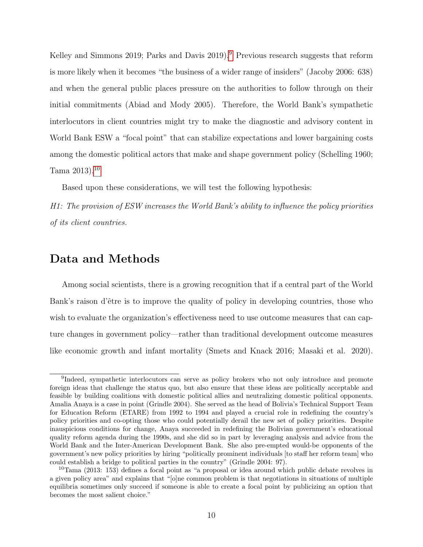Kelley and Simmons 201[9](#page-13-0); Parks and Davis 2019).<sup>9</sup> Previous research suggests that reform is more likely when it becomes "the business of a wider range of insiders" (Jacoby 2006: 638) and when the general public places pressure on the authorities to follow through on their initial commitments (Abiad and Mody 2005). Therefore, the World Bank's sympathetic interlocutors in client countries might try to make the diagnostic and advisory content in World Bank ESW a "focal point" that can stabilize expectations and lower bargaining costs among the domestic political actors that make and shape government policy (Schelling 1960; Tama 2013).[10](#page-13-1)

Based upon these considerations, we will test the following hypothesis:

H1: The provision of ESW increases the World Bank's ability to influence the policy priorities of its client countries.

### Data and Methods

Among social scientists, there is a growing recognition that if a central part of the World Bank's raison d'être is to improve the quality of policy in developing countries, those who wish to evaluate the organization's effectiveness need to use outcome measures that can capture changes in government policy—rather than traditional development outcome measures like economic growth and infant mortality (Smets and Knack 2016; Masaki et al. 2020).

<span id="page-13-0"></span><sup>&</sup>lt;sup>9</sup>Indeed, sympathetic interlocutors can serve as policy brokers who not only introduce and promote foreign ideas that challenge the status quo, but also ensure that these ideas are politically acceptable and feasible by building coalitions with domestic political allies and neutralizing domestic political opponents. Amalia Anaya is a case in point (Grindle 2004). She served as the head of Bolivia's Technical Support Team for Education Reform (ETARE) from 1992 to 1994 and played a crucial role in redefining the country's policy priorities and co-opting those who could potentially derail the new set of policy priorities. Despite inauspicious conditions for change, Anaya succeeded in redefining the Bolivian government's educational quality reform agenda during the 1990s, and she did so in part by leveraging analysis and advice from the World Bank and the Inter-American Development Bank. She also pre-empted would-be opponents of the government's new policy priorities by hiring "politically prominent individuals [to staff her reform team] who could establish a bridge to political parties in the country" (Grindle 2004: 97).

<span id="page-13-1"></span><sup>10</sup>Tama (2013: 153) defines a focal point as "a proposal or idea around which public debate revolves in a given policy area" and explains that "[o]ne common problem is that negotiations in situations of multiple equilibria sometimes only succeed if someone is able to create a focal point by publicizing an option that becomes the most salient choice."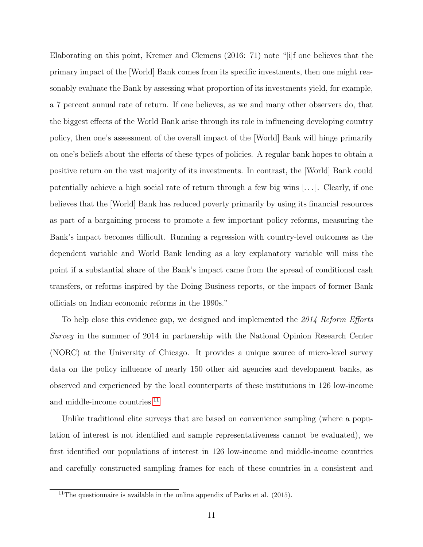Elaborating on this point, Kremer and Clemens (2016: 71) note "[i]f one believes that the primary impact of the [World] Bank comes from its specific investments, then one might reasonably evaluate the Bank by assessing what proportion of its investments yield, for example, a 7 percent annual rate of return. If one believes, as we and many other observers do, that the biggest effects of the World Bank arise through its role in influencing developing country policy, then one's assessment of the overall impact of the [World] Bank will hinge primarily on one's beliefs about the effects of these types of policies. A regular bank hopes to obtain a positive return on the vast majority of its investments. In contrast, the [World] Bank could potentially achieve a high social rate of return through a few big wins  $\dots$ . Clearly, if one believes that the [World] Bank has reduced poverty primarily by using its financial resources as part of a bargaining process to promote a few important policy reforms, measuring the Bank's impact becomes difficult. Running a regression with country-level outcomes as the dependent variable and World Bank lending as a key explanatory variable will miss the point if a substantial share of the Bank's impact came from the spread of conditional cash transfers, or reforms inspired by the Doing Business reports, or the impact of former Bank officials on Indian economic reforms in the 1990s."

To help close this evidence gap, we designed and implemented the 2014 Reform Efforts Survey in the summer of 2014 in partnership with the National Opinion Research Center (NORC) at the University of Chicago. It provides a unique source of micro-level survey data on the policy influence of nearly 150 other aid agencies and development banks, as observed and experienced by the local counterparts of these institutions in 126 low-income and middle-income countries.<sup>[11](#page-14-0)</sup>

Unlike traditional elite surveys that are based on convenience sampling (where a population of interest is not identified and sample representativeness cannot be evaluated), we first identified our populations of interest in 126 low-income and middle-income countries and carefully constructed sampling frames for each of these countries in a consistent and

<span id="page-14-0"></span><sup>&</sup>lt;sup>11</sup>The questionnaire is available in the online appendix of Parks et al.  $(2015)$ .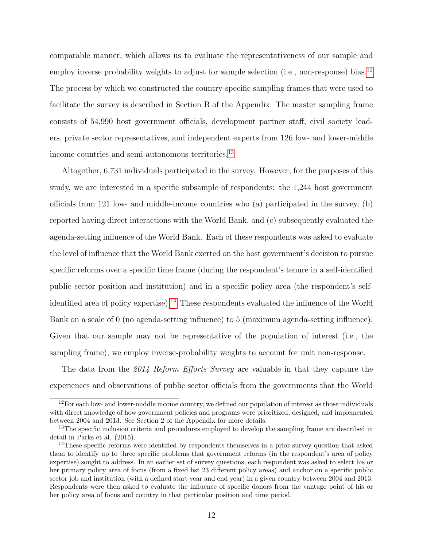comparable manner, which allows us to evaluate the representativeness of our sample and employ inverse probability weights to adjust for sample selection (i.e., non-response) bias.<sup>[12](#page-15-0)</sup> The process by which we constructed the country-specific sampling frames that were used to facilitate the survey is described in Section B of the Appendix. The master sampling frame consists of 54,990 host government officials, development partner staff, civil society leaders, private sector representatives, and independent experts from 126 low- and lower-middle income countries and semi-autonomous territories.[13](#page-15-1)

Altogether, 6,731 individuals participated in the survey. However, for the purposes of this study, we are interested in a specific subsample of respondents: the 1,244 host government officials from 121 low- and middle-income countries who (a) participated in the survey, (b) reported having direct interactions with the World Bank, and (c) subsequently evaluated the agenda-setting influence of the World Bank. Each of these respondents was asked to evaluate the level of influence that the World Bank exerted on the host government's decision to pursue specific reforms over a specific time frame (during the respondent's tenure in a self-identified public sector position and institution) and in a specific policy area (the respondent's self-identified area of policy expertise).<sup>[14](#page-15-2)</sup> These respondents evaluated the influence of the World Bank on a scale of 0 (no agenda-setting influence) to 5 (maximum agenda-setting influence). Given that our sample may not be representative of the population of interest (i.e., the sampling frame), we employ inverse-probability weights to account for unit non-response.

The data from the 2014 Reform Efforts Survey are valuable in that they capture the experiences and observations of public sector officials from the governments that the World

<span id="page-15-0"></span> $12$  For each low- and lower-middle income country, we defined our population of interest as those individuals with direct knowledge of how government policies and programs were prioritized, designed, and implemented between 2004 and 2013. See Section 2 of the Appendix for more details.

<span id="page-15-1"></span><sup>&</sup>lt;sup>13</sup>The specific inclusion criteria and procedures employed to develop the sampling frame are described in detail in Parks et al. (2015).

<span id="page-15-2"></span><sup>&</sup>lt;sup>14</sup>These specific reforms were identified by respondents themselves in a prior survey question that asked them to identify up to three specific problems that government reforms (in the respondent's area of policy expertise) sought to address. In an earlier set of survey questions, each respondent was asked to select his or her primary policy area of focus (from a fixed list 23 different policy areas) and anchor on a specific public sector job and institution (with a defined start year and end year) in a given country between 2004 and 2013. Respondents were then asked to evaluate the influence of specific donors from the vantage point of his or her policy area of focus and country in that particular position and time period.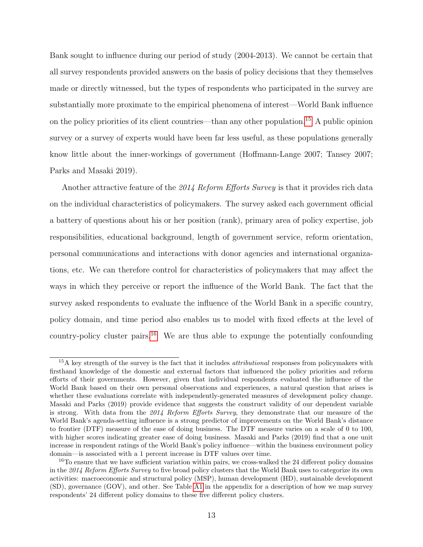Bank sought to influence during our period of study (2004-2013). We cannot be certain that all survey respondents provided answers on the basis of policy decisions that they themselves made or directly witnessed, but the types of respondents who participated in the survey are substantially more proximate to the empirical phenomena of interest—World Bank influence on the policy priorities of its client countries—than any other population.<sup>[15](#page-16-0)</sup> A public opinion survey or a survey of experts would have been far less useful, as these populations generally know little about the inner-workings of government (Hoffmann-Lange 2007; Tansey 2007; Parks and Masaki 2019).

Another attractive feature of the 2014 Reform Efforts Survey is that it provides rich data on the individual characteristics of policymakers. The survey asked each government official a battery of questions about his or her position (rank), primary area of policy expertise, job responsibilities, educational background, length of government service, reform orientation, personal communications and interactions with donor agencies and international organizations, etc. We can therefore control for characteristics of policymakers that may affect the ways in which they perceive or report the influence of the World Bank. The fact that the survey asked respondents to evaluate the influence of the World Bank in a specific country, policy domain, and time period also enables us to model with fixed effects at the level of country-policy cluster pairs.<sup>[16](#page-16-1)</sup> We are thus able to expunge the potentially confounding

<span id="page-16-0"></span> $15A$  key strength of the survey is the fact that it includes *attributional* responses from policymakers with firsthand knowledge of the domestic and external factors that influenced the policy priorities and reform efforts of their governments. However, given that individual respondents evaluated the influence of the World Bank based on their own personal observations and experiences, a natural question that arises is whether these evaluations correlate with independently-generated measures of development policy change. Masaki and Parks (2019) provide evidence that suggests the construct validity of our dependent variable is strong. With data from the 2014 Reform Efforts Survey, they demonstrate that our measure of the World Bank's agenda-setting influence is a strong predictor of improvements on the World Bank's distance to frontier (DTF) measure of the ease of doing business. The DTF measure varies on a scale of 0 to 100, with higher scores indicating greater ease of doing business. Masaki and Parks (2019) find that a one unit increase in respondent ratings of the World Bank's policy influence—within the business environment policy domain—is associated with a 1 percent increase in DTF values over time.

<span id="page-16-1"></span><sup>&</sup>lt;sup>16</sup>To ensure that we have sufficient variation within pairs, we cross-walked the 24 different policy domains in the 2014 Reform Efforts Survey to five broad policy clusters that the World Bank uses to categorize its own activities: macroeconomic and structural policy (MSP), human development (HD), sustainable development (SD), governance (GOV), and other. See Table [A1](#page-22-0) in the appendix for a description of how we map survey respondents' 24 different policy domains to these five different policy clusters.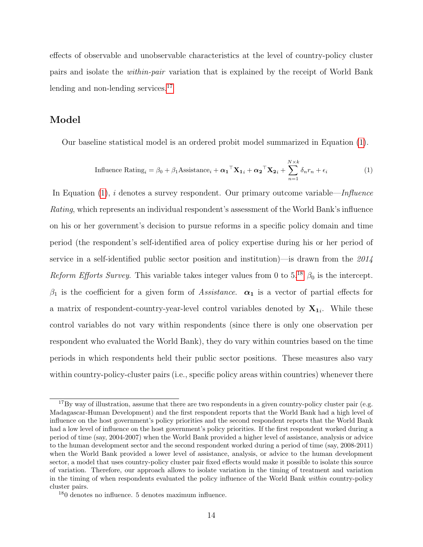effects of observable and unobservable characteristics at the level of country-policy cluster pairs and isolate the within-pair variation that is explained by the receipt of World Bank lending and non-lending services.<sup>[17](#page-17-0)</sup>

#### Model

Our baseline statistical model is an ordered probit model summarized in Equation [\(1\)](#page-17-1).

<span id="page-17-1"></span>Influence Rating<sub>i</sub> = 
$$
\beta_0 + \beta_1
$$
Assistance<sub>i</sub> +  $\alpha_1^\top \mathbf{X}_{1i} + \alpha_2^\top \mathbf{X}_{2i} + \sum_{n=1}^{N \times k} \delta_n r_n + \epsilon_i$  (1)

In Equation  $(1)$ , i denotes a survey respondent. Our primary outcome variable—Influence Rating, which represents an individual respondent's assessment of the World Bank's influence on his or her government's decision to pursue reforms in a specific policy domain and time period (the respondent's self-identified area of policy expertise during his or her period of service in a self-identified public sector position and institution)—is drawn from the  $2014$ Reform Efforts Survey. This variable takes integer values from 0 to  $5^{18}$  $5^{18}$  $5^{18}$   $\beta_0$  is the intercept.  $\beta_1$  is the coefficient for a given form of Assistance.  $\alpha_1$  is a vector of partial effects for a matrix of respondent-country-year-level control variables denoted by  $X_{1i}$ . While these control variables do not vary within respondents (since there is only one observation per respondent who evaluated the World Bank), they do vary within countries based on the time periods in which respondents held their public sector positions. These measures also vary within country-policy-cluster pairs (i.e., specific policy areas within countries) whenever there

<span id="page-17-0"></span><sup>&</sup>lt;sup>17</sup>By way of illustration, assume that there are two respondents in a given country-policy cluster pair (e.g. Madagascar-Human Development) and the first respondent reports that the World Bank had a high level of influence on the host government's policy priorities and the second respondent reports that the World Bank had a low level of influence on the host government's policy priorities. If the first respondent worked during a period of time (say, 2004-2007) when the World Bank provided a higher level of assistance, analysis or advice to the human development sector and the second respondent worked during a period of time (say, 2008-2011) when the World Bank provided a lower level of assistance, analysis, or advice to the human development sector, a model that uses country-policy cluster pair fixed effects would make it possible to isolate this source of variation. Therefore, our approach allows to isolate variation in the timing of treatment and variation in the timing of when respondents evaluated the policy influence of the World Bank within country-policy cluster pairs.

<span id="page-17-2"></span><sup>18</sup>0 denotes no influence. 5 denotes maximum influence.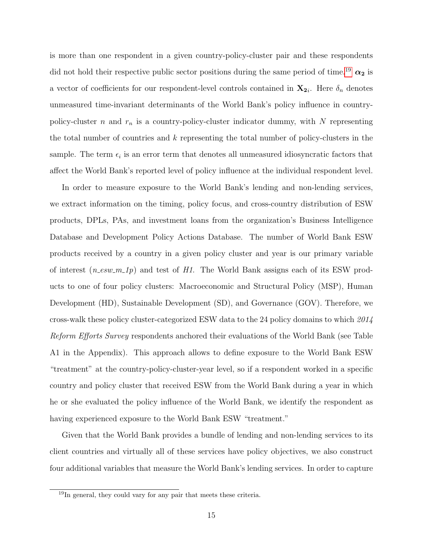is more than one respondent in a given country-policy-cluster pair and these respondents did not hold their respective public sector positions during the same period of time.<sup>[19](#page-18-0)</sup>  $\alpha_2$  is a vector of coefficients for our respondent-level controls contained in  $\mathbf{X_{2i}}$ . Here  $\delta_n$  denotes unmeasured time-invariant determinants of the World Bank's policy influence in countrypolicy-cluster n and  $r_n$  is a country-policy-cluster indicator dummy, with N representing the total number of countries and  $k$  representing the total number of policy-clusters in the sample. The term  $\epsilon_i$  is an error term that denotes all unmeasured idiosyncratic factors that affect the World Bank's reported level of policy influence at the individual respondent level.

In order to measure exposure to the World Bank's lending and non-lending services, we extract information on the timing, policy focus, and cross-country distribution of ESW products, DPLs, PAs, and investment loans from the organization's Business Intelligence Database and Development Policy Actions Database. The number of World Bank ESW products received by a country in a given policy cluster and year is our primary variable of interest  $(n \text{.} esw \text{.} m \text{.} 1p)$  and test of H1. The World Bank assigns each of its ESW products to one of four policy clusters: Macroeconomic and Structural Policy (MSP), Human Development (HD), Sustainable Development (SD), and Governance (GOV). Therefore, we cross-walk these policy cluster-categorized ESW data to the 24 policy domains to which 2014 Reform Efforts Survey respondents anchored their evaluations of the World Bank (see Table A1 in the Appendix). This approach allows to define exposure to the World Bank ESW "treatment" at the country-policy-cluster-year level, so if a respondent worked in a specific country and policy cluster that received ESW from the World Bank during a year in which he or she evaluated the policy influence of the World Bank, we identify the respondent as having experienced exposure to the World Bank ESW "treatment."

Given that the World Bank provides a bundle of lending and non-lending services to its client countries and virtually all of these services have policy objectives, we also construct four additional variables that measure the World Bank's lending services. In order to capture

<span id="page-18-0"></span><sup>&</sup>lt;sup>19</sup>In general, they could vary for any pair that meets these criteria.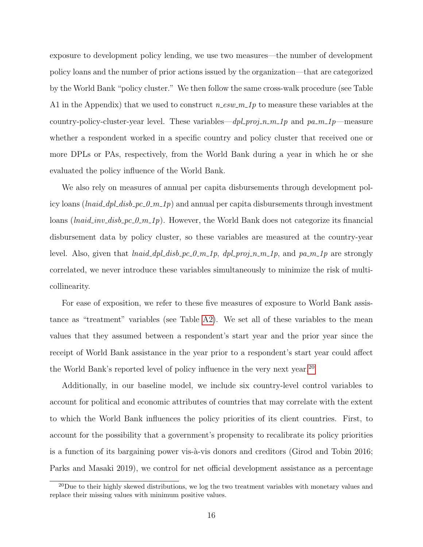exposure to development policy lending, we use two measures—the number of development policy loans and the number of prior actions issued by the organization—that are categorized by the World Bank "policy cluster." We then follow the same cross-walk procedure (see Table A1 in the Appendix) that we used to construct  $n$ -esw- $m$ -1p to measure these variables at the country-policy-cluster-year level. These variables— $dpl\_proj_n_m_1$  and  $pa_m_1$  m-measure whether a respondent worked in a specific country and policy cluster that received one or more DPLs or PAs, respectively, from the World Bank during a year in which he or she evaluated the policy influence of the World Bank.

We also rely on measures of annual per capita disbursements through development policy loans (*lnaid\_dpl\_disb\_pc\_0\_m\_1p*) and annual per capita disbursements through investment loans (*lnaid\_inv\_disb\_pc\_0\_m\_1p*). However, the World Bank does not categorize its financial disbursement data by policy cluster, so these variables are measured at the country-year level. Also, given that  $\text{lnaid\_dpl\_disb\_pc\_0\_m\_1p}$ ,  $\text{dpl\_proj\_n\_m\_1p}$ , and  $\text{pa\_m\_1p}$  are strongly correlated, we never introduce these variables simultaneously to minimize the risk of multicollinearity.

For ease of exposition, we refer to these five measures of exposure to World Bank assistance as "treatment" variables (see Table [A2\)](#page-25-0). We set all of these variables to the mean values that they assumed between a respondent's start year and the prior year since the receipt of World Bank assistance in the year prior to a respondent's start year could affect the World Bank's reported level of policy influence in the very next year.[20](#page-19-0)

Additionally, in our baseline model, we include six country-level control variables to account for political and economic attributes of countries that may correlate with the extent to which the World Bank influences the policy priorities of its client countries. First, to account for the possibility that a government's propensity to recalibrate its policy priorities is a function of its bargaining power vis- $\grave{a}$ -vis donors and creditors (Girod and Tobin 2016; Parks and Masaki 2019), we control for net official development assistance as a percentage

<span id="page-19-0"></span> $^{20}$ Due to their highly skewed distributions, we log the two treatment variables with monetary values and replace their missing values with minimum positive values.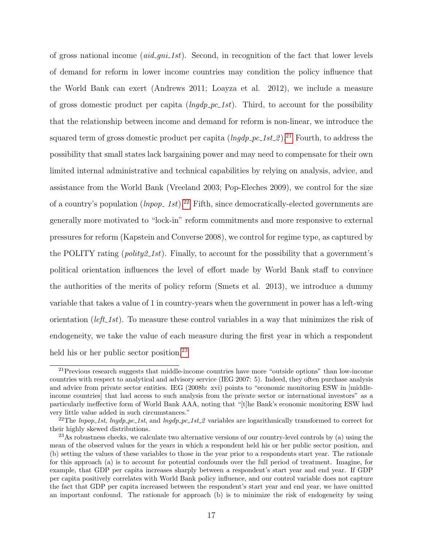of gross national income  $(\text{aid\_gni\_1st})$ . Second, in recognition of the fact that lower levels of demand for reform in lower income countries may condition the policy influence that the World Bank can exert (Andrews 2011; Loayza et al. 2012), we include a measure of gross domestic product per capita  $(ingdp$ - $pc$ -1st). Third, to account for the possibility that the relationship between income and demand for reform is non-linear, we introduce the squared term of gross domestic product per capita  $(ln qdp_{p}c_{p}1st_{p}^{2})$ .<sup>[21](#page-20-0)</sup> Fourth, to address the possibility that small states lack bargaining power and may need to compensate for their own limited internal administrative and technical capabilities by relying on analysis, advice, and assistance from the World Bank (Vreeland 2003; Pop-Eleches 2009), we control for the size of a country's population  $(lnpop_1st).^{22}$  $(lnpop_1st).^{22}$  $(lnpop_1st).^{22}$  Fifth, since democratically-elected governments are generally more motivated to "lock-in" reform commitments and more responsive to external pressures for reform (Kapstein and Converse 2008), we control for regime type, as captured by the POLITY rating (*polity2\_1st*). Finally, to account for the possibility that a government's political orientation influences the level of effort made by World Bank staff to convince the authorities of the merits of policy reform (Smets et al. 2013), we introduce a dummy variable that takes a value of 1 in country-years when the government in power has a left-wing orientation (*left\_1st*). To measure these control variables in a way that minimizes the risk of endogeneity, we take the value of each measure during the first year in which a respondent held his or her public sector position.<sup>[23](#page-20-2)</sup>

<span id="page-20-0"></span><sup>21</sup>Previous research suggests that middle-income countries have more "outside options" than low-income countries with respect to analytical and advisory service (IEG 2007: 5). Indeed, they often purchase analysis and advice from private sector entities. IEG (2008b: xvi) points to "economic monitoring ESW in [middleincome countries] that had access to such analysis from the private sector or international investors" as a particularly ineffective form of World Bank AAA, noting that "[t]he Bank's economic monitoring ESW had very little value added in such circumstances."

<span id="page-20-1"></span><sup>&</sup>lt;sup>22</sup>The *lnpop\_1st*, *lngdp\_pc\_1st*, and *lngdp\_pc\_1st\_2* variables are logarithmically transformed to correct for their highly skewed distributions.

<span id="page-20-2"></span> $^{23}$ As robustness checks, we calculate two alternative versions of our country-level controls by (a) using the mean of the observed values for the years in which a respondent held his or her public sector position, and (b) setting the values of these variables to those in the year prior to a respondents start year. The rationale for this approach (a) is to account for potential confounds over the full period of treatment. Imagine, for example, that GDP per capita increases sharply between a respondent's start year and end year. If GDP per capita positively correlates with World Bank policy influence, and our control variable does not capture the fact that GDP per capita increased between the respondent's start year and end year, we have omitted an important confound. The rationale for approach (b) is to minimize the risk of endogeneity by using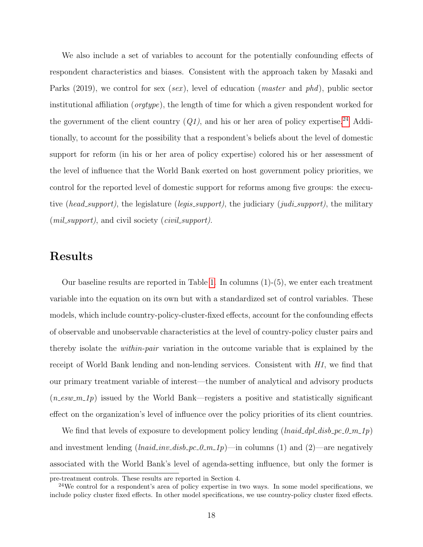We also include a set of variables to account for the potentially confounding effects of respondent characteristics and biases. Consistent with the approach taken by Masaki and Parks (2019), we control for sex (sex), level of education (*master* and *phd*), public sector institutional affiliation (orgtype), the length of time for which a given respondent worked for the government of the client country  $(Q1)$ , and his or her area of policy expertise.<sup>[24](#page-21-0)</sup> Additionally, to account for the possibility that a respondent's beliefs about the level of domestic support for reform (in his or her area of policy expertise) colored his or her assessment of the level of influence that the World Bank exerted on host government policy priorities, we control for the reported level of domestic support for reforms among five groups: the executive (head\_support), the legislature (legis\_support), the judiciary (judi\_support), the military  $(mil\_support)$ , and civil society  $(civil\_support)$ .

### Results

Our baseline results are reported in Table [1.](#page-22-0) In columns (1)-(5), we enter each treatment variable into the equation on its own but with a standardized set of control variables. These models, which include country-policy-cluster-fixed effects, account for the confounding effects of observable and unobservable characteristics at the level of country-policy cluster pairs and thereby isolate the within-pair variation in the outcome variable that is explained by the receipt of World Bank lending and non-lending services. Consistent with  $H1$ , we find that our primary treatment variable of interest—the number of analytical and advisory products  $(n_{\text{e}}\text{sw}_{\text{e}}-n_{\text{e}}\text{w}_{\text{e}})$  issued by the World Bank—registers a positive and statistically significant effect on the organization's level of influence over the policy priorities of its client countries.

We find that levels of exposure to development policy lending  $(lnaid\_dpl\_disb\_pc\_0\_m\_1p)$ and investment lending  $( \text{haid}_\text{inv}_\text{d} \text{is} b_\text{p} c_\text{u} \text{on}_\text{u} \text{p})$ —in columns (1) and (2)—are negatively associated with the World Bank's level of agenda-setting influence, but only the former is

pre-treatment controls. These results are reported in Section 4.

<span id="page-21-0"></span><sup>&</sup>lt;sup>24</sup>We control for a respondent's area of policy expertise in two ways. In some model specifications, we include policy cluster fixed effects. In other model specifications, we use country-policy cluster fixed effects.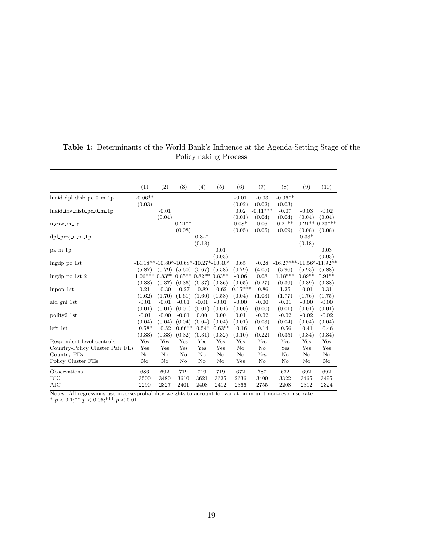|                                 | (1)                                    | (2)      | (3)                        | (4)      | (5)              | (6)                                                      | (7)        | (8)                        | (9)      | (10)      |
|---------------------------------|----------------------------------------|----------|----------------------------|----------|------------------|----------------------------------------------------------|------------|----------------------------|----------|-----------|
| $lnaid_dpl_disb_pc_0_m_1p$      | $-0.06**$                              |          |                            |          |                  | $-0.01$                                                  | $-0.03$    | $-0.06**$                  |          |           |
|                                 | (0.03)                                 |          |                            |          |                  | (0.02)                                                   | (0.02)     | (0.03)                     |          |           |
| $lnaid_inv-disb_pc_0_m_1p$      |                                        | $-0.01$  |                            |          |                  | 0.02                                                     | $-0.11***$ | $-0.07$                    | $-0.03$  | $-0.02$   |
|                                 |                                        | (0.04)   |                            |          |                  | (0.01)                                                   | (0.04)     | (0.04)                     | (0.04)   | (0.04)    |
| $n$ _esw_m_1 $p$                |                                        |          | $0.21**$                   |          |                  | $0.08*$                                                  | 0.06       | $0.21**$                   | $0.21**$ | $0.23***$ |
|                                 |                                        |          | (0.08)                     |          |                  | (0.05)                                                   | (0.05)     | (0.09)                     | (0.08)   | (0.08)    |
| $dpl$ -proj-n-m-1p              |                                        |          |                            | $0.32*$  |                  |                                                          |            |                            | $0.33*$  |           |
|                                 |                                        |          |                            | (0.18)   |                  |                                                          |            |                            | (0.18)   |           |
| $pa_m1p$                        |                                        |          |                            |          | 0.01             |                                                          |            |                            |          | 0.03      |
|                                 |                                        |          |                            |          | (0.03)           |                                                          |            |                            |          | (0.03)    |
| $Ingdp_pc_1st$                  | $-14.18**-10.80*-10.68*-10.27*-10.40*$ |          |                            |          |                  | 0.65                                                     | $-0.28$    | $-16.27***-11.56*-11.92**$ |          |           |
|                                 | (5.87)                                 |          | $(5.79)$ $(5.60)$ $(5.67)$ |          | (5.58)           | (0.79)                                                   | (4.05)     | (5.96)                     | (5.93)   | (5.88)    |
| $Ingdp_pc_1st_2$                | $1.06***$                              | $0.83**$ | $0.85**0.82**$             |          | $0.83**$         | $-0.06$                                                  | 0.08       | $1.18***$                  | $0.89**$ | $0.91**$  |
|                                 | (0.38)                                 | (0.37)   | (0.36)                     | (0.37)   | (0.36)           | (0.05)                                                   | (0.27)     | (0.39)                     | (0.39)   | (0.38)    |
| $lnpop_1$ st                    | 0.21                                   | $-0.30$  | $-0.27$                    | $-0.89$  | $-0.62$          | $-0.15***$                                               | $-0.86$    | 1.25                       | $-0.01$  | 0.31      |
|                                 | (1.62)                                 | (1.70)   | (1.61)                     | (1.60)   | (1.58)           | (0.04)                                                   | (1.03)     | (1.77)                     | (1.76)   | (1.75)    |
| aid_gni_1st                     | $-0.01$                                | $-0.01$  | $-0.01$                    | $-0.01$  | $-0.01$          | $-0.00$                                                  | $-0.00$    | $-0.01$                    | $-0.00$  | $-0.00$   |
|                                 | (0.01)                                 | (0.01)   | (0.01)                     | (0.01)   | (0.01)           | (0.00)                                                   | (0.00)     | (0.01)                     | (0.01)   | (0.01)    |
| polity2 <sub>-1st</sub>         | $-0.01$                                | $-0.00$  | $-0.01$                    | 0.00     | 0.00             | 0.01                                                     | $-0.02$    | $-0.02$                    | $-0.02$  | $-0.02$   |
|                                 | (0.04)                                 | (0.04)   | (0.04)                     | (0.04)   | (0.04)           | (0.01)                                                   | (0.03)     | (0.04)                     | (0.04)   | (0.04)    |
| $left\_1st$                     | $-0.58*$                               | $-0.52$  | $-0.66**$                  |          | $-0.54* -0.63**$ | $-0.16$                                                  | $-0.14$    | $-0.56$                    | $-0.41$  | $-0.46$   |
|                                 | (0.33)                                 | (0.33)   | (0.32)                     | (0.31)   | (0.32)           | (0.10)                                                   | (0.22)     | (0.35)                     | (0.34)   | (0.34)    |
| Respondent-level controls       | Yes                                    | Yes      | Yes                        | Yes      | Yes              | Yes                                                      | Yes        | Yes                        | Yes      | Yes       |
| Country-Policy Cluster Pair FEs | Yes                                    | Yes      | Yes                        | Yes      | Yes              | No                                                       | $\rm No$   | Yes                        | Yes      | Yes       |
| Country FEs                     | $\rm No$                               | $\rm No$ | $\rm No$                   | $\rm No$ | No               | No                                                       | Yes        | No                         | No       | $\rm No$  |
| Policy Cluster FEs              | No                                     | $\rm No$ | No                         | No       | No               | Yes                                                      | $\rm No$   | No                         | No       | No        |
| Observations                    | 686                                    | 692      | 719                        | 719      | 719              | 672                                                      | 787        | 672                        | 692      | 692       |
| BIC                             | 3500                                   | 3480     | 3610                       | 3621     | 3625             | 2636                                                     | 3400       | 3322                       | 3465     | 3495      |
| AIC                             | 2290                                   | 2327     | 2401                       | 2408     | 2412             | 2366                                                     | 2755       | 2208                       | 2312     | 2324      |
| $Mof \sim All nonconogeneous$   |                                        |          |                            |          |                  | probability woights to account for variation in unit non |            | nononons on the            |          |           |

### <span id="page-22-0"></span>Table 1: Determinants of the World Bank's Influence at the Agenda-Setting Stage of the Policymaking Process

 $\equiv$ 

Notes: All regressions use inverse-probability weights to account for variation in unit non-response rate.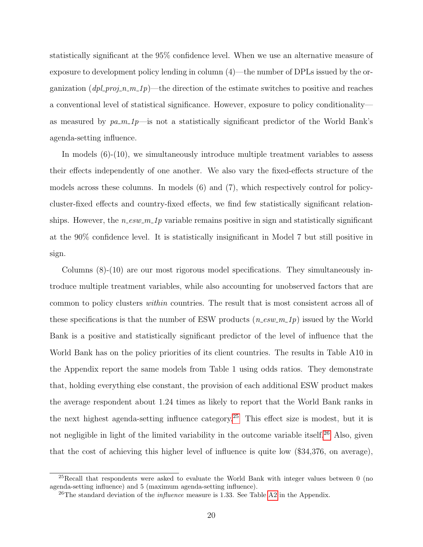statistically significant at the 95% confidence level. When we use an alternative measure of exposure to development policy lending in column (4)—the number of DPLs issued by the organization  $(dpl\_proj_n_m\_1p)$ —the direction of the estimate switches to positive and reaches a conventional level of statistical significance. However, exposure to policy conditionality as measured by  $pa_{m-1}p$ —is not a statistically significant predictor of the World Bank's agenda-setting influence.

In models (6)-(10), we simultaneously introduce multiple treatment variables to assess their effects independently of one another. We also vary the fixed-effects structure of the models across these columns. In models (6) and (7), which respectively control for policycluster-fixed effects and country-fixed effects, we find few statistically significant relationships. However, the  $n$ -esw  $m$ -1p variable remains positive in sign and statistically significant at the 90% confidence level. It is statistically insignificant in Model 7 but still positive in sign.

Columns (8)-(10) are our most rigorous model specifications. They simultaneously introduce multiple treatment variables, while also accounting for unobserved factors that are common to policy clusters within countries. The result that is most consistent across all of these specifications is that the number of ESW products  $(n_{\text{new}}-m_{\text{1}}p)$  issued by the World Bank is a positive and statistically significant predictor of the level of influence that the World Bank has on the policy priorities of its client countries. The results in Table A10 in the Appendix report the same models from Table 1 using odds ratios. They demonstrate that, holding everything else constant, the provision of each additional ESW product makes the average respondent about 1.24 times as likely to report that the World Bank ranks in the next highest agenda-setting influence category.[25](#page-23-0) This effect size is modest, but it is not negligible in light of the limited variability in the outcome variable itself.<sup>[26](#page-23-1)</sup> Also, given that the cost of achieving this higher level of influence is quite low (\$34,376, on average),

<span id="page-23-0"></span> $^{25}$ Recall that respondents were asked to evaluate the World Bank with integer values between 0 (no agenda-setting influence) and 5 (maximum agenda-setting influence).

<span id="page-23-1"></span><sup>&</sup>lt;sup>26</sup>The standard deviation of the *influence* measure is 1.33. See Table [A2](#page-25-0) in the Appendix.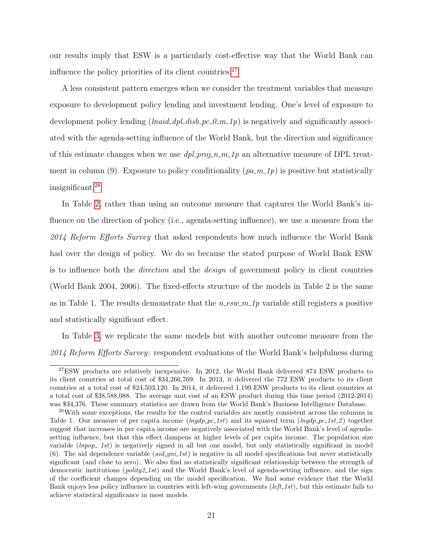our results imply that ESW is a particularly cost-effective way that the World Bank can influence the policy priorities of its client countries. $27$ 

A less consistent pattern emerges when we consider the treatment variables that measure exposure to development policy lending and investment lending. One's level of exposure to development policy lending  $( \text{haid\_dpl\_disb\_pc\_0\_m\_1p})$  is negatively and significantly associated with the agenda-setting influence of the World Bank, but the direction and significance of this estimate changes when we use  $dpl\_proj_n_m_l_p$  an alternative measure of DPL treatment in column (9). Exposure to policy conditionality  $(pa_m_1_p)$  is positive but statistically insignificant.[28](#page-24-1)

In Table [2,](#page-25-0) rather than using an outcome measure that captures the World Bank's influence on the direction of policy (i.e., agenda-setting influence), we use a measure from the 2014 Reform Efforts Survey that asked respondents how much influence the World Bank had over the design of policy. We do so because the stated purpose of World Bank ESW is to influence both the direction and the design of government policy in client countries (World Bank 2004, 2006). The fixed-effects structure of the models in Table 2 is the same as in Table 1. The results demonstrate that the  $n$ -esw  $m$ -1p variable still registers a positive and statistically significant effect.

In Table [3,](#page-26-0) we replicate the same models but with another outcome measure from the 2014 Reform Efforts Survey: respondent evaluations of the World Bank's helpfulness during

<span id="page-24-0"></span><sup>27</sup>ESW products are relatively inexpensive. In 2012, the World Bank delivered 874 ESW products to its client countries at total cost of \$34,266,769. In 2013, it delivered the 772 ESW products to its client countries at a total cost of \$24,503,120. In 2014, it delivered 1,199 ESW products to its client countries at a total cost of \$38,588,088. The average unit cost of an ESW product during this time period (2012-2014) was \$34,376. These summary statistics are drawn from the World Bank's Business Intelligence Database.

<span id="page-24-1"></span><sup>28</sup>With some exceptions, the results for the control variables are mostly consistent across the columns in Table 1. Our measure of per capita income  $(nqdp$ -pc-1st) and its squared term  $(nqdp$ -pc-1st-2) together suggest that increases in per capita income are negatively associated with the World Bank's level of agendasetting influence, but that this effect dampens at higher levels of per capita income. The population size variable  $(lnpop_1st)$  is negatively signed in all but one model, but only statistically significant in model (6). The aid dependence variable (*aid qni* 1st) is negative in all model specifications but never statistically significant (and close to zero). We also find no statistically significant relationship between the strength of democratic institutions (*polity2\_1st*) and the World Bank's level of agenda-setting influence, and the sign of the coefficient changes depending on the model specification. We find some evidence that the World Bank enjoys less policy influence in countries with left-wing governments  $(left_11st)$ , but this estimate fails to achieve statistical significance in most models.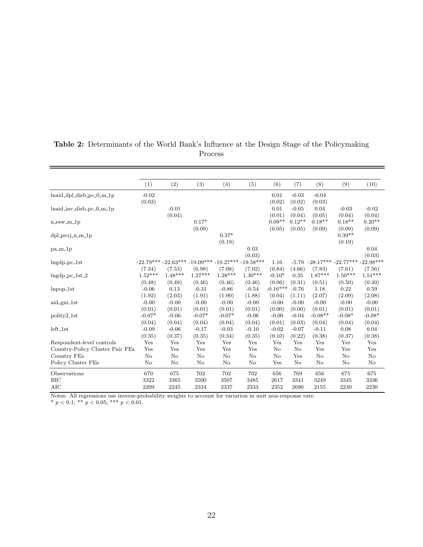|                                                                                                          | (1)       | (2)                                                         | (3)       | (4)       | (5)       | (6)        | (7)      | (8)                     | (9)       | (10)        |
|----------------------------------------------------------------------------------------------------------|-----------|-------------------------------------------------------------|-----------|-----------|-----------|------------|----------|-------------------------|-----------|-------------|
| lnaid_dpl_disb_pc_0_m_1p                                                                                 | $-0.02$   |                                                             |           |           |           | 0.01       | $-0.03$  | $-0.04$                 |           |             |
|                                                                                                          | (0.03)    |                                                             |           |           |           | (0.02)     | (0.02)   | (0.03)                  |           |             |
| $lnaid_inv_disb_pc_0_m_1p$                                                                               |           | $-0.01$                                                     |           |           |           | 0.01       | $-0.05$  | 0.04                    | $-0.03$   | $-0.02$     |
|                                                                                                          |           | (0.04)                                                      |           |           |           | (0.01)     | (0.04)   | (0.05)                  | (0.04)    | (0.04)      |
| $n$ _esw_m_1 $p$                                                                                         |           |                                                             | $0.17*$   |           |           | $0.09**$   | $0.12**$ | $0.18**$                | $0.18**$  | $0.20**$    |
|                                                                                                          |           |                                                             | (0.09)    |           |           | (0.05)     | (0.05)   | (0.09)                  | (0.09)    | (0.09)      |
| $dpl$ -proj-n-m- $1p$                                                                                    |           |                                                             |           | $0.37*$   |           |            |          |                         | $0.39**$  |             |
|                                                                                                          |           |                                                             |           | (0.19)    |           |            |          |                         | (0.19)    |             |
| $pa.m-lp$                                                                                                |           |                                                             |           |           | 0.03      |            |          |                         |           | 0.04        |
|                                                                                                          |           |                                                             |           |           | (0.03)    |            |          |                         |           | (0.03)      |
| $Ingdp_pc_1st$                                                                                           |           | $-22.79***$ $-22.63***$ $-19.09***$ $-19.27***$ $-19.58***$ |           |           |           | 1.16       | $-5.79$  | $-28.17***$ $-22.77***$ |           | $-22.98***$ |
|                                                                                                          | (7.34)    | (7.53)                                                      | (6.98)    | (7.08)    | (7.02)    | (0.84)     | (4.66)   | (7.83)                  | (7.61)    | (7.56)      |
| $Ingdp_pc_1st_2$                                                                                         | $1.52***$ | $1.48***$                                                   | $1.27***$ | $1.28***$ | $1.30***$ | $-0.10*$   | 0.35     | $1.87***$               | $1.50***$ | $1.51***$   |
|                                                                                                          | (0.48)    | (0.49)                                                      | (0.46)    | (0.46)    | (0.46)    | (0.06)     | (0.31)   | (0.51)                  | (0.50)    | (0.49)      |
| $lnpop_1$ st                                                                                             | $-0.06$   | 0.13                                                        | $-0.31$   | $-0.86$   | $-0.54$   | $-0.16***$ | $-0.76$  | 1.18                    | 0.22      | 0.59        |
|                                                                                                          | (1.92)    | (2.03)                                                      | (1.91)    | (1.90)    | (1.88)    | (0.04)     | (1.11)   | (2.07)                  | (2.09)    | (2.08)      |
| aid_gni_1st                                                                                              | $-0.00$   | $-0.00$                                                     | $-0.00$   | $-0.00$   | $-0.00$   | $-0.00$    | $-0.00$  | $-0.00$                 | $-0.00$   | $-0.00$     |
|                                                                                                          | (0.01)    | (0.01)                                                      | (0.01)    | (0.01)    | (0.01)    | (0.00)     | (0.00)   | (0.01)                  | (0.01)    | (0.01)      |
| polity2_1st                                                                                              | $-0.07*$  | $-0.06$                                                     | $-0.07*$  | $-0.07*$  | $-0.06$   | $-0.00$    | $-0.04$  | $-0.08**$               | $-0.08*$  | $-0.08*$    |
|                                                                                                          | (0.04)    | (0.04)                                                      | (0.04)    | (0.04)    | (0.04)    | (0.01)     | (0.03)   | (0.04)                  | (0.04)    | (0.04)      |
| $left\_1st$                                                                                              | $-0.09$   | $-0.06$                                                     | $-0.17$   | $-0.03$   | $-0.10$   | $-0.02$    | $-0.07$  | $-0.11$                 | 0.08      | 0.04        |
|                                                                                                          | (0.35)    | (0.37)                                                      | (0.35)    | (0.34)    | (0.35)    | (0.10)     | (0.22)   | (0.38)                  | (0.37)    | (0.38)      |
| Respondent-level controls                                                                                | Yes       | Yes                                                         | Yes       | Yes       | Yes       | Yes        | Yes      | Yes                     | Yes       | Yes         |
| Country-Policy Cluster Pair FEs                                                                          | Yes       | Yes                                                         | Yes       | Yes       | Yes       | No         | No       | Yes                     | Yes       | Yes         |
| Country FEs                                                                                              | No        | $\rm No$                                                    | $\rm No$  | No        | $\rm No$  | No         | Yes      | $\rm No$                | $\rm No$  | No          |
| Policy Cluster FEs                                                                                       | No        | No                                                          | No        | No        | No        | Yes        | No       | No                      | No        | No          |
| Observations                                                                                             | 670       | 675                                                         | 702       | 702       | 702       | 656        | 769      | 656                     | 675       | 675         |
| <b>BIC</b>                                                                                               | 3322      | 3365                                                        | 3500      | 3507      | 3485      | 2617       | 3341     | 3249                    | 3345      | 3336        |
| <b>AIC</b>                                                                                               | 2209      | 2245                                                        | 2334      | 2337      | 2333      | 2352       | 2690     | 2155                    | 2230      | 2230        |
| Notes, All regressions use inverse probability weights to essent for veristion in unit non regnonse rate |           |                                                             |           |           |           |            |          |                         |           |             |

#### <span id="page-25-0"></span>Table 2: Determinants of the World Bank's Influence at the Design Stage of the Policymaking Process

Notes: All regressions use inverse-probability weights to account for variation in unit non-response rate.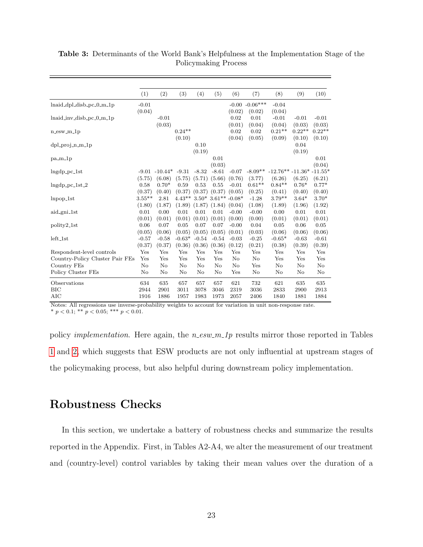|                                 | (1)       | (2)              | (3)      | (4)      | (5)                 | (6)      | (7)               | (8)                        | (9)      | (10)     |
|---------------------------------|-----------|------------------|----------|----------|---------------------|----------|-------------------|----------------------------|----------|----------|
| $lnaid_dpl_disb_pc_0_m_1p$      | $-0.01$   |                  |          |          |                     |          | $-0.00 - 0.06***$ | $-0.04$                    |          |          |
|                                 | (0.04)    |                  |          |          |                     | (0.02)   | (0.02)            | (0.04)                     |          |          |
| lnaid_inv_disb_pc_0_m_1p        |           | $-0.01$          |          |          |                     | 0.02     | 0.01              | $-0.01$                    | $-0.01$  | $-0.01$  |
|                                 |           | (0.03)           |          |          |                     | (0.01)   | (0.04)            | (0.04)                     | (0.03)   | (0.03)   |
| $n$ _esw_m_1 $p$                |           |                  | $0.24**$ |          |                     | 0.02     | 0.02              | $0.21**$                   | $0.22**$ | $0.22**$ |
|                                 |           |                  | (0.10)   |          |                     | (0.04)   | (0.05)            | (0.09)                     | (0.10)   | (0.10)   |
| $dpl_proj_n_m_l$                |           |                  |          | 0.10     |                     |          |                   |                            | 0.04     |          |
|                                 |           |                  |          | (0.19)   |                     |          |                   |                            | (0.19)   |          |
| $pa_m1p$                        |           |                  |          |          | 0.01                |          |                   |                            |          | 0.01     |
|                                 |           |                  |          |          | (0.03)              |          |                   |                            |          | (0.04)   |
| $ln\{qp_pc_1st}$                |           | $-9.01 - 10.44*$ | $-9.31$  | $-8.32$  | $-8.61$             | $-0.07$  | $-8.09**$         | $-12.76** -11.36* -11.55*$ |          |          |
|                                 | (5.75)    | (6.08)           | (5.75)   | (5.71)   | (5.66)              | (0.76)   | (3.77)            | (6.26)                     | (6.25)   | (6.21)   |
| $ln\{dp_pc_1st_2\}$             | 0.58      | $0.70*$          | 0.59     | 0.53     | 0.55                | $-0.01$  | $0.61**$          | $0.84**$                   | $0.76*$  | $0.77*$  |
|                                 | (0.37)    | (0.40)           | (0.37)   | (0.37)   | (0.37)              | (0.05)   | (0.25)            | (0.41)                     | (0.40)   | (0.40)   |
| $lnpop_1$ st                    | $3.55***$ | 2.81             | $4.43**$ |          | $3.50*3.61**-0.08*$ |          | $-1.28$           | $3.79**$                   | $3.64*$  | $3.70*$  |
|                                 | (1.80)    | (1.87)           | (1.89)   | (1.87)   | (1.84)              | (0.04)   | (1.08)            | (1.89)                     | (1.96)   | (1.92)   |
| aid_gni_1st                     | 0.01      | 0.00             | 0.01     | 0.01     | 0.01                | $-0.00$  | $-0.00$           | 0.00                       | 0.01     | 0.01     |
|                                 | (0.01)    | (0.01)           | (0.01)   | (0.01)   | (0.01)              | (0.00)   | (0.00)            | (0.01)                     | (0.01)   | (0.01)   |
| polity2_1st                     | 0.06      | 0.07             | 0.05     | 0.07     | 0.07                | $-0.00$  | 0.04              | 0.05                       | 0.06     | 0.05     |
|                                 | (0.05)    | (0.06)           | (0.05)   | (0.05)   | (0.05)              | (0.01)   | (0.03)            | (0.06)                     | (0.06)   | (0.06)   |
| $left\_1st$                     | $-0.57$   | $-0.58$          | $-0.63*$ | $-0.54$  | $-0.54$             | $-0.03$  | $-0.25$           | $-0.65*$                   | $-0.63$  | $-0.61$  |
|                                 | (0.37)    | (0.37)           | (0.36)   | (0.36)   | (0.36)              | (0.12)   | (0.21)            | (0.38)                     | (0.39)   | (0.39)   |
| Respondent-level controls       | Yes       | Yes              | Yes      | Yes      | Yes                 | Yes      | Yes               | Yes                        | Yes      | Yes      |
| Country-Policy Cluster Pair FEs | Yes       | Yes              | Yes      | Yes      | Yes                 | $\rm No$ | $\rm No$          | Yes                        | Yes      | Yes      |
| Country FEs                     | No        | No               | No       | $\rm No$ | $\rm No$            | $\rm No$ | Yes               | No                         | No       | No       |
| Policy Cluster FEs              | No        | No               | No       | $\rm No$ | $\rm No$            | Yes      | $\rm No$          | No                         | No       | No       |
| Observations                    | 634       | 635              | 657      | 657      | 657                 | 621      | 732               | 621                        | 635      | 635      |
| <b>BIC</b>                      | 2944      | 2901             | 3011     | 3078     | 3046                | 2319     | 3036              | 2833                       | 2900     | 2913     |
| AIC                             | 1916      | 1886             | 1957     | 1983     | 1973                | 2057     | 2406              | 1840                       | 1881     | 1884     |

<span id="page-26-0"></span>Table 3: Determinants of the World Bank's Helpfulness at the Implementation Stage of the Policymaking Process

policy *implementation*. Here again, the  $n$ -esw  $m_1$  results mirror those reported in Tables [1](#page-22-0) and [2,](#page-25-0) which suggests that ESW products are not only influential at upstream stages of the policymaking process, but also helpful during downstream policy implementation.

### Robustness Checks

In this section, we undertake a battery of robustness checks and summarize the results reported in the Appendix. First, in Tables A2-A4, we alter the measurement of our treatment and (country-level) control variables by taking their mean values over the duration of a

Notes: All regressions use inverse-probability weights to account for variation in unit non-response rate. \*  $p < 0.1$ ; \*\*  $p < 0.05$ ; \*\*\*  $p < 0.01$ .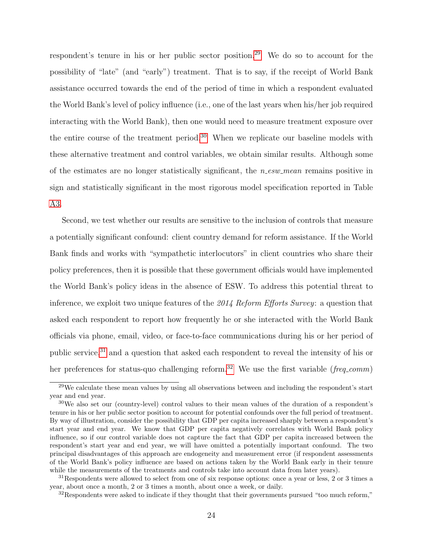respondent's tenure in his or her public sector position.<sup>[29](#page-27-0)</sup> We do so to account for the possibility of "late" (and "early") treatment. That is to say, if the receipt of World Bank assistance occurred towards the end of the period of time in which a respondent evaluated the World Bank's level of policy influence (i.e., one of the last years when his/her job required interacting with the World Bank), then one would need to measure treatment exposure over the entire course of the treatment period.<sup>[30](#page-27-1)</sup> When we replicate our baseline models with these alternative treatment and control variables, we obtain similar results. Although some of the estimates are no longer statistically significant, the  $n$ -esw mean remains positive in sign and statistically significant in the most rigorous model specification reported in Table [A3.](#page-26-0)

Second, we test whether our results are sensitive to the inclusion of controls that measure a potentially significant confound: client country demand for reform assistance. If the World Bank finds and works with "sympathetic interlocutors" in client countries who share their policy preferences, then it is possible that these government officials would have implemented the World Bank's policy ideas in the absence of ESW. To address this potential threat to inference, we exploit two unique features of the 2014 Reform Efforts Survey: a question that asked each respondent to report how frequently he or she interacted with the World Bank officials via phone, email, video, or face-to-face communications during his or her period of public service,<sup>[31](#page-27-2)</sup> and a question that asked each respondent to reveal the intensity of his or her preferences for status-quo challenging reform.<sup>[32](#page-27-3)</sup> We use the first variable (*freq.comm*)

<span id="page-27-0"></span> $29$ We calculate these mean values by using all observations between and including the respondent's start year and end year.

<span id="page-27-1"></span><sup>30</sup>We also set our (country-level) control values to their mean values of the duration of a respondent's tenure in his or her public sector position to account for potential confounds over the full period of treatment. By way of illustration, consider the possibility that GDP per capita increased sharply between a respondent's start year and end year. We know that GDP per capita negatively correlates with World Bank policy influence, so if our control variable does not capture the fact that GDP per capita increased between the respondent's start year and end year, we will have omitted a potentially important confound. The two principal disadvantages of this approach are endogeneity and measurement error (if respondent assessments of the World Bank's policy influence are based on actions taken by the World Bank early in their tenure while the measurements of the treatments and controls take into account data from later years).

<span id="page-27-2"></span><sup>31</sup>Respondents were allowed to select from one of six response options: once a year or less, 2 or 3 times a year, about once a month, 2 or 3 times a month, about once a week, or daily.

<span id="page-27-3"></span> $32$ Respondents were asked to indicate if they thought that their governments pursued "too much reform,"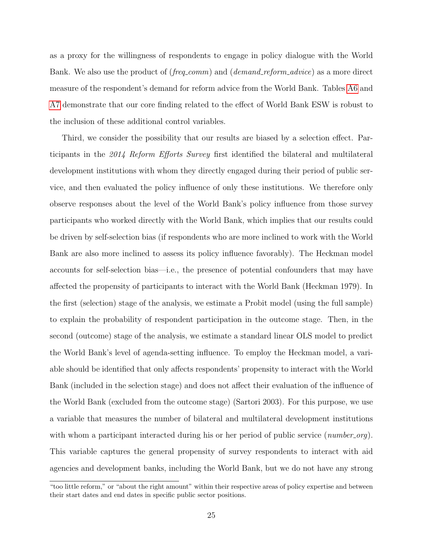as a proxy for the willingness of respondents to engage in policy dialogue with the World Bank. We also use the product of (*freq\_comm*) and (*demand\_reform\_advice*) as a more direct measure of the respondent's demand for reform advice from the World Bank. Tables [A6](#page-47-0) and [A7](#page-48-0) demonstrate that our core finding related to the effect of World Bank ESW is robust to the inclusion of these additional control variables.

Third, we consider the possibility that our results are biased by a selection effect. Participants in the 2014 Reform Efforts Survey first identified the bilateral and multilateral development institutions with whom they directly engaged during their period of public service, and then evaluated the policy influence of only these institutions. We therefore only observe responses about the level of the World Bank's policy influence from those survey participants who worked directly with the World Bank, which implies that our results could be driven by self-selection bias (if respondents who are more inclined to work with the World Bank are also more inclined to assess its policy influence favorably). The Heckman model accounts for self-selection bias—i.e., the presence of potential confounders that may have affected the propensity of participants to interact with the World Bank (Heckman 1979). In the first (selection) stage of the analysis, we estimate a Probit model (using the full sample) to explain the probability of respondent participation in the outcome stage. Then, in the second (outcome) stage of the analysis, we estimate a standard linear OLS model to predict the World Bank's level of agenda-setting influence. To employ the Heckman model, a variable should be identified that only affects respondents' propensity to interact with the World Bank (included in the selection stage) and does not affect their evaluation of the influence of the World Bank (excluded from the outcome stage) (Sartori 2003). For this purpose, we use a variable that measures the number of bilateral and multilateral development institutions with whom a participant interacted during his or her period of public service (*number\_org*). This variable captures the general propensity of survey respondents to interact with aid agencies and development banks, including the World Bank, but we do not have any strong

<sup>&</sup>quot;too little reform," or "about the right amount" within their respective areas of policy expertise and between their start dates and end dates in specific public sector positions.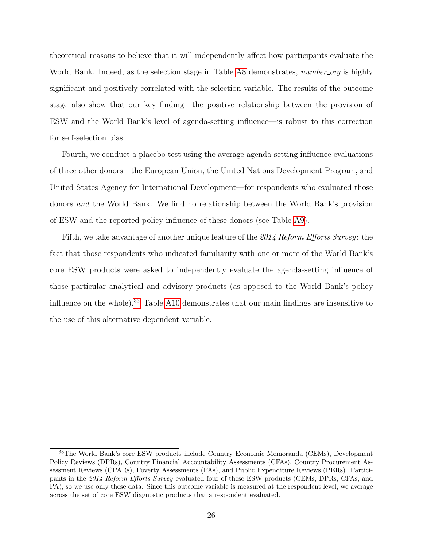theoretical reasons to believe that it will independently affect how participants evaluate the World Bank. Indeed, as the selection stage in Table [A8](#page-49-0) demonstrates, *number\_org* is highly significant and positively correlated with the selection variable. The results of the outcome stage also show that our key finding—the positive relationship between the provision of ESW and the World Bank's level of agenda-setting influence—is robust to this correction for self-selection bias.

Fourth, we conduct a placebo test using the average agenda-setting influence evaluations of three other donors—the European Union, the United Nations Development Program, and United States Agency for International Development—for respondents who evaluated those donors and the World Bank. We find no relationship between the World Bank's provision of ESW and the reported policy influence of these donors (see Table [A9\)](#page-50-0).

Fifth, we take advantage of another unique feature of the 2014 Reform Efforts Survey: the fact that those respondents who indicated familiarity with one or more of the World Bank's core ESW products were asked to independently evaluate the agenda-setting influence of those particular analytical and advisory products (as opposed to the World Bank's policy influence on the whole).[33](#page-29-0) Table [A10](#page-51-0) demonstrates that our main findings are insensitive to the use of this alternative dependent variable.

<span id="page-29-0"></span><sup>33</sup>The World Bank's core ESW products include Country Economic Memoranda (CEMs), Development Policy Reviews (DPRs), Country Financial Accountability Assessments (CFAs), Country Procurement Assessment Reviews (CPARs), Poverty Assessments (PAs), and Public Expenditure Reviews (PERs). Participants in the 2014 Reform Efforts Survey evaluated four of these ESW products (CEMs, DPRs, CFAs, and PA), so we use only these data. Since this outcome variable is measured at the respondent level, we average across the set of core ESW diagnostic products that a respondent evaluated.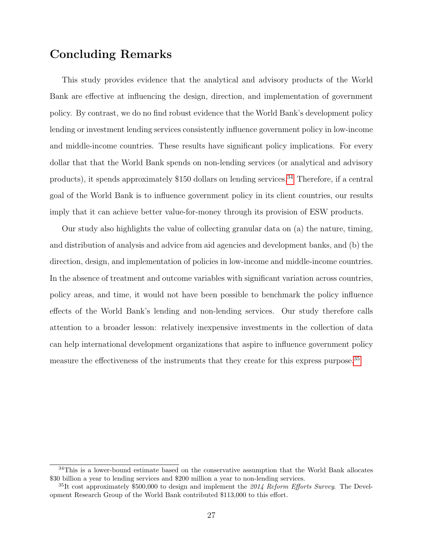### Concluding Remarks

This study provides evidence that the analytical and advisory products of the World Bank are effective at influencing the design, direction, and implementation of government policy. By contrast, we do no find robust evidence that the World Bank's development policy lending or investment lending services consistently influence government policy in low-income and middle-income countries. These results have significant policy implications. For every dollar that that the World Bank spends on non-lending services (or analytical and advisory products), it spends approximately \$150 dollars on lending services.<sup>[34](#page-30-0)</sup> Therefore, if a central goal of the World Bank is to influence government policy in its client countries, our results imply that it can achieve better value-for-money through its provision of ESW products.

Our study also highlights the value of collecting granular data on (a) the nature, timing, and distribution of analysis and advice from aid agencies and development banks, and (b) the direction, design, and implementation of policies in low-income and middle-income countries. In the absence of treatment and outcome variables with significant variation across countries, policy areas, and time, it would not have been possible to benchmark the policy influence effects of the World Bank's lending and non-lending services. Our study therefore calls attention to a broader lesson: relatively inexpensive investments in the collection of data can help international development organizations that aspire to influence government policy measure the effectiveness of the instruments that they create for this express purpose.<sup>[35](#page-30-1)</sup>

<span id="page-30-0"></span><sup>&</sup>lt;sup>34</sup>This is a lower-bound estimate based on the conservative assumption that the World Bank allocates \$30 billion a year to lending services and \$200 million a year to non-lending services.

<span id="page-30-1"></span> $35$ It cost approximately \$500,000 to design and implement the 2014 Reform Efforts Survey. The Development Research Group of the World Bank contributed \$113,000 to this effort.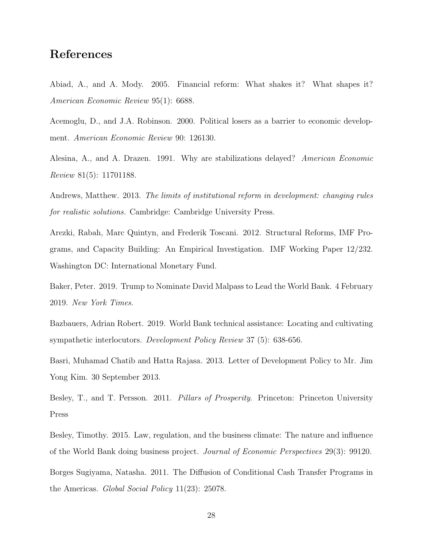### References

Abiad, A., and A. Mody. 2005. Financial reform: What shakes it? What shapes it? American Economic Review 95(1): 6688.

Acemoglu, D., and J.A. Robinson. 2000. Political losers as a barrier to economic development. American Economic Review 90: 126130.

Alesina, A., and A. Drazen. 1991. Why are stabilizations delayed? American Economic Review 81(5): 11701188.

Andrews, Matthew. 2013. The limits of institutional reform in development: changing rules for realistic solutions. Cambridge: Cambridge University Press.

Arezki, Rabah, Marc Quintyn, and Frederik Toscani. 2012. Structural Reforms, IMF Programs, and Capacity Building: An Empirical Investigation. IMF Working Paper 12/232. Washington DC: International Monetary Fund.

Baker, Peter. 2019. Trump to Nominate David Malpass to Lead the World Bank. 4 February 2019. New York Times.

Bazbauers, Adrian Robert. 2019. World Bank technical assistance: Locating and cultivating sympathetic interlocutors. Development Policy Review 37 (5): 638-656.

Basri, Muhamad Chatib and Hatta Rajasa. 2013. Letter of Development Policy to Mr. Jim Yong Kim. 30 September 2013.

Besley, T., and T. Persson. 2011. Pillars of Prosperity. Princeton: Princeton University Press

Besley, Timothy. 2015. Law, regulation, and the business climate: The nature and influence of the World Bank doing business project. Journal of Economic Perspectives 29(3): 99120. Borges Sugiyama, Natasha. 2011. The Diffusion of Conditional Cash Transfer Programs in

the Americas. Global Social Policy 11(23): 25078.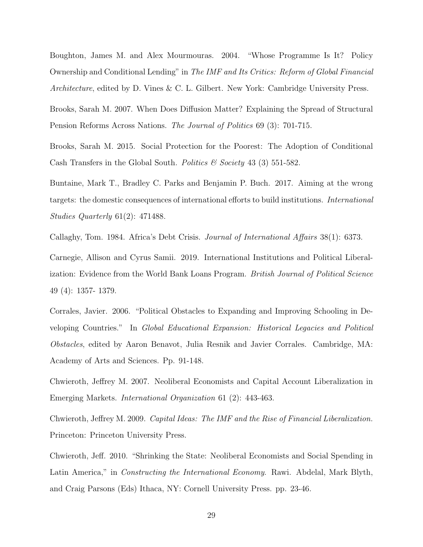Boughton, James M. and Alex Mourmouras. 2004. "Whose Programme Is It? Policy Ownership and Conditional Lending" in The IMF and Its Critics: Reform of Global Financial Architecture, edited by D. Vines & C. L. Gilbert. New York: Cambridge University Press.

Brooks, Sarah M. 2007. When Does Diffusion Matter? Explaining the Spread of Structural Pension Reforms Across Nations. The Journal of Politics 69 (3): 701-715.

Brooks, Sarah M. 2015. Social Protection for the Poorest: The Adoption of Conditional Cash Transfers in the Global South. Politics  $\mathcal C$  Society 43 (3) 551-582.

Buntaine, Mark T., Bradley C. Parks and Benjamin P. Buch. 2017. Aiming at the wrong targets: the domestic consequences of international efforts to build institutions. International Studies Quarterly 61(2): 471488.

Callaghy, Tom. 1984. Africa's Debt Crisis. Journal of International Affairs 38(1): 6373.

Carnegie, Allison and Cyrus Samii. 2019. International Institutions and Political Liberalization: Evidence from the World Bank Loans Program. *British Journal of Political Science* 49 (4): 1357- 1379.

Corrales, Javier. 2006. "Political Obstacles to Expanding and Improving Schooling in Developing Countries." In Global Educational Expansion: Historical Legacies and Political Obstacles, edited by Aaron Benavot, Julia Resnik and Javier Corrales. Cambridge, MA: Academy of Arts and Sciences. Pp. 91-148.

Chwieroth, Jeffrey M. 2007. Neoliberal Economists and Capital Account Liberalization in Emerging Markets. International Organization 61 (2): 443-463.

Chwieroth, Jeffrey M. 2009. Capital Ideas: The IMF and the Rise of Financial Liberalization. Princeton: Princeton University Press.

Chwieroth, Jeff. 2010. "Shrinking the State: Neoliberal Economists and Social Spending in Latin America," in *Constructing the International Economy*. Rawi. Abdelal, Mark Blyth, and Craig Parsons (Eds) Ithaca, NY: Cornell University Press. pp. 23-46.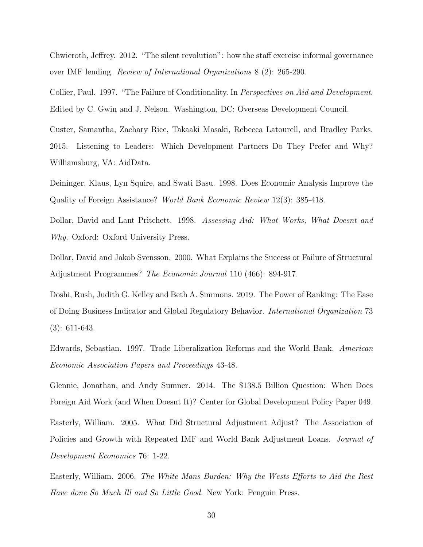Chwieroth, Jeffrey. 2012. "The silent revolution": how the staff exercise informal governance over IMF lending. Review of International Organizations 8 (2): 265-290.

Collier, Paul. 1997. "The Failure of Conditionality. In *Perspectives on Aid and Development*. Edited by C. Gwin and J. Nelson. Washington, DC: Overseas Development Council.

Custer, Samantha, Zachary Rice, Takaaki Masaki, Rebecca Latourell, and Bradley Parks. 2015. Listening to Leaders: Which Development Partners Do They Prefer and Why? Williamsburg, VA: AidData.

Deininger, Klaus, Lyn Squire, and Swati Basu. 1998. Does Economic Analysis Improve the Quality of Foreign Assistance? World Bank Economic Review 12(3): 385-418.

Dollar, David and Lant Pritchett. 1998. Assessing Aid: What Works, What Doesnt and Why. Oxford: Oxford University Press.

Dollar, David and Jakob Svensson. 2000. What Explains the Success or Failure of Structural Adjustment Programmes? The Economic Journal 110 (466): 894-917.

Doshi, Rush, Judith G. Kelley and Beth A. Simmons. 2019. The Power of Ranking: The Ease of Doing Business Indicator and Global Regulatory Behavior. International Organization 73 (3): 611-643.

Edwards, Sebastian. 1997. Trade Liberalization Reforms and the World Bank. American Economic Association Papers and Proceedings 43-48.

Glennie, Jonathan, and Andy Sumner. 2014. The \$138.5 Billion Question: When Does Foreign Aid Work (and When Doesnt It)? Center for Global Development Policy Paper 049.

Easterly, William. 2005. What Did Structural Adjustment Adjust? The Association of Policies and Growth with Repeated IMF and World Bank Adjustment Loans. *Journal of* Development Economics 76: 1-22.

Easterly, William. 2006. The White Mans Burden: Why the Wests Efforts to Aid the Rest Have done So Much Ill and So Little Good. New York: Penguin Press.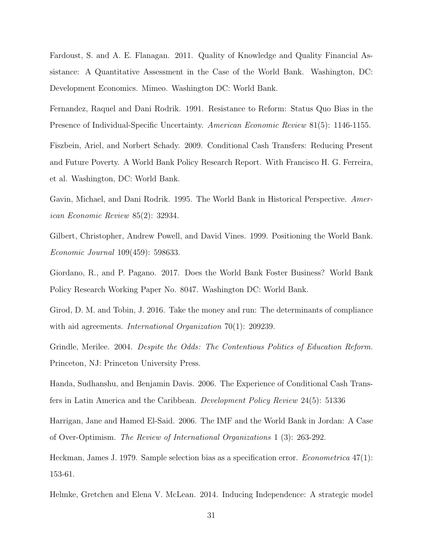Fardoust, S. and A. E. Flanagan. 2011. Quality of Knowledge and Quality Financial Assistance: A Quantitative Assessment in the Case of the World Bank. Washington, DC: Development Economics. Mimeo. Washington DC: World Bank.

Fernandez, Raquel and Dani Rodrik. 1991. Resistance to Reform: Status Quo Bias in the Presence of Individual-Specific Uncertainty. American Economic Review 81(5): 1146-1155.

Fiszbein, Ariel, and Norbert Schady. 2009. Conditional Cash Transfers: Reducing Present and Future Poverty. A World Bank Policy Research Report. With Francisco H. G. Ferreira, et al. Washington, DC: World Bank.

Gavin, Michael, and Dani Rodrik. 1995. The World Bank in Historical Perspective. American Economic Review 85(2): 32934.

Gilbert, Christopher, Andrew Powell, and David Vines. 1999. Positioning the World Bank. Economic Journal 109(459): 598633.

Giordano, R., and P. Pagano. 2017. Does the World Bank Foster Business? World Bank Policy Research Working Paper No. 8047. Washington DC: World Bank.

Girod, D. M. and Tobin, J. 2016. Take the money and run: The determinants of compliance with aid agreements. *International Organization* 70(1): 209239.

Grindle, Merilee. 2004. Despite the Odds: The Contentious Politics of Education Reform. Princeton, NJ: Princeton University Press.

Handa, Sudhanshu, and Benjamin Davis. 2006. The Experience of Conditional Cash Transfers in Latin America and the Caribbean. Development Policy Review 24(5): 51336

Harrigan, Jane and Hamed El-Said. 2006. The IMF and the World Bank in Jordan: A Case of Over-Optimism. The Review of International Organizations 1 (3): 263-292.

Heckman, James J. 1979. Sample selection bias as a specification error. Econometrica 47(1): 153-61.

Helmke, Gretchen and Elena V. McLean. 2014. Inducing Independence: A strategic model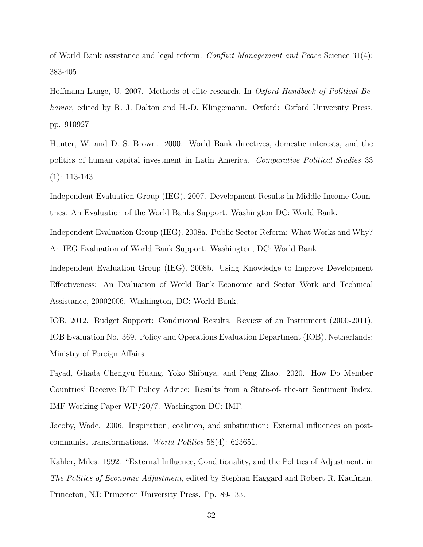of World Bank assistance and legal reform. Conflict Management and Peace Science 31(4): 383-405.

Hoffmann-Lange, U. 2007. Methods of elite research. In Oxford Handbook of Political Behavior, edited by R. J. Dalton and H.-D. Klingemann. Oxford: Oxford University Press. pp. 910927

Hunter, W. and D. S. Brown. 2000. World Bank directives, domestic interests, and the politics of human capital investment in Latin America. Comparative Political Studies 33 (1): 113-143.

Independent Evaluation Group (IEG). 2007. Development Results in Middle-Income Countries: An Evaluation of the World Banks Support. Washington DC: World Bank.

Independent Evaluation Group (IEG). 2008a. Public Sector Reform: What Works and Why? An IEG Evaluation of World Bank Support. Washington, DC: World Bank.

Independent Evaluation Group (IEG). 2008b. Using Knowledge to Improve Development Effectiveness: An Evaluation of World Bank Economic and Sector Work and Technical Assistance, 20002006. Washington, DC: World Bank.

IOB. 2012. Budget Support: Conditional Results. Review of an Instrument (2000-2011). IOB Evaluation No. 369. Policy and Operations Evaluation Department (IOB). Netherlands: Ministry of Foreign Affairs.

Fayad, Ghada Chengyu Huang, Yoko Shibuya, and Peng Zhao. 2020. How Do Member Countries' Receive IMF Policy Advice: Results from a State-of- the-art Sentiment Index. IMF Working Paper WP/20/7. Washington DC: IMF.

Jacoby, Wade. 2006. Inspiration, coalition, and substitution: External influences on postcommunist transformations. World Politics 58(4): 623651.

Kahler, Miles. 1992. "External Influence, Conditionality, and the Politics of Adjustment. in The Politics of Economic Adjustment, edited by Stephan Haggard and Robert R. Kaufman. Princeton, NJ: Princeton University Press. Pp. 89-133.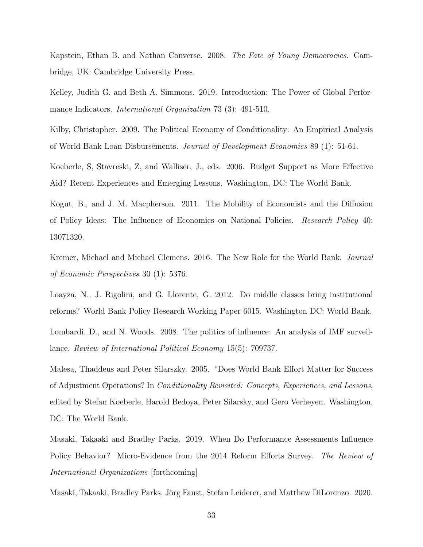Kapstein, Ethan B. and Nathan Converse. 2008. The Fate of Young Democracies. Cambridge, UK: Cambridge University Press.

Kelley, Judith G. and Beth A. Simmons. 2019. Introduction: The Power of Global Performance Indicators. *International Organization* 73 (3): 491-510.

Kilby, Christopher. 2009. The Political Economy of Conditionality: An Empirical Analysis of World Bank Loan Disbursements. Journal of Development Economics 89 (1): 51-61.

Koeberle, S, Stavreski, Z, and Walliser, J., eds. 2006. Budget Support as More Effective Aid? Recent Experiences and Emerging Lessons. Washington, DC: The World Bank.

Kogut, B., and J. M. Macpherson. 2011. The Mobility of Economists and the Diffusion of Policy Ideas: The Influence of Economics on National Policies. Research Policy 40: 13071320.

Kremer, Michael and Michael Clemens. 2016. The New Role for the World Bank. Journal of Economic Perspectives 30 (1): 5376.

Loayza, N., J. Rigolini, and G. Llorente, G. 2012. Do middle classes bring institutional reforms? World Bank Policy Research Working Paper 6015. Washington DC: World Bank.

Lombardi, D., and N. Woods. 2008. The politics of influence: An analysis of IMF surveillance. Review of International Political Economy 15(5): 709737.

Malesa, Thaddeus and Peter Silarszky. 2005. "Does World Bank Effort Matter for Success of Adjustment Operations? In Conditionality Revisited: Concepts, Experiences, and Lessons, edited by Stefan Koeberle, Harold Bedoya, Peter Silarsky, and Gero Verheyen. Washington, DC: The World Bank.

Masaki, Takaaki and Bradley Parks. 2019. When Do Performance Assessments Influence Policy Behavior? Micro-Evidence from the 2014 Reform Efforts Survey. The Review of International Organizations [forthcoming]

Masaki, Takaaki, Bradley Parks, Jörg Faust, Stefan Leiderer, and Matthew DiLorenzo. 2020.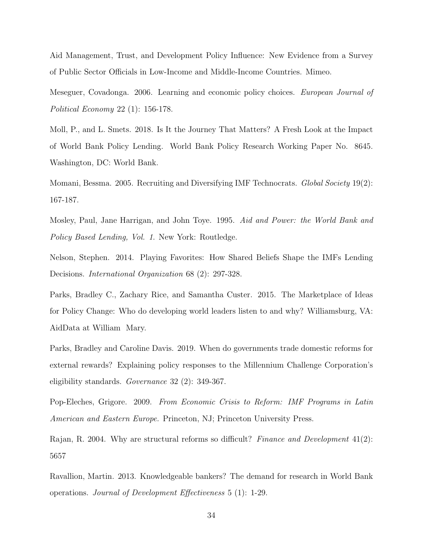Aid Management, Trust, and Development Policy Influence: New Evidence from a Survey of Public Sector Officials in Low-Income and Middle-Income Countries. Mimeo.

Meseguer, Covadonga. 2006. Learning and economic policy choices. European Journal of Political Economy 22 (1): 156-178.

Moll, P., and L. Smets. 2018. Is It the Journey That Matters? A Fresh Look at the Impact of World Bank Policy Lending. World Bank Policy Research Working Paper No. 8645. Washington, DC: World Bank.

Momani, Bessma. 2005. Recruiting and Diversifying IMF Technocrats. Global Society 19(2): 167-187.

Mosley, Paul, Jane Harrigan, and John Toye. 1995. Aid and Power: the World Bank and Policy Based Lending, Vol. 1. New York: Routledge.

Nelson, Stephen. 2014. Playing Favorites: How Shared Beliefs Shape the IMFs Lending Decisions. International Organization 68 (2): 297-328.

Parks, Bradley C., Zachary Rice, and Samantha Custer. 2015. The Marketplace of Ideas for Policy Change: Who do developing world leaders listen to and why? Williamsburg, VA: AidData at William Mary.

Parks, Bradley and Caroline Davis. 2019. When do governments trade domestic reforms for external rewards? Explaining policy responses to the Millennium Challenge Corporation's eligibility standards. Governance 32 (2): 349-367.

Pop-Eleches, Grigore. 2009. From Economic Crisis to Reform: IMF Programs in Latin American and Eastern Europe. Princeton, NJ; Princeton University Press.

Rajan, R. 2004. Why are structural reforms so difficult? Finance and Development 41(2): 5657

Ravallion, Martin. 2013. Knowledgeable bankers? The demand for research in World Bank operations. Journal of Development Effectiveness 5 (1): 1-29.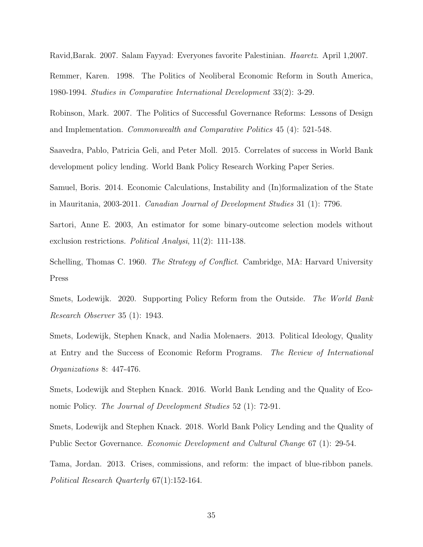Ravid,Barak. 2007. Salam Fayyad: Everyones favorite Palestinian. Haaretz. April 1,2007.

Remmer, Karen. 1998. The Politics of Neoliberal Economic Reform in South America, 1980-1994. Studies in Comparative International Development 33(2): 3-29.

Robinson, Mark. 2007. The Politics of Successful Governance Reforms: Lessons of Design and Implementation. Commonwealth and Comparative Politics 45 (4): 521-548.

Saavedra, Pablo, Patricia Geli, and Peter Moll. 2015. Correlates of success in World Bank development policy lending. World Bank Policy Research Working Paper Series.

Samuel, Boris. 2014. Economic Calculations, Instability and (In)formalization of the State in Mauritania, 2003-2011. Canadian Journal of Development Studies 31 (1): 7796.

Sartori, Anne E. 2003, An estimator for some binary-outcome selection models without exclusion restrictions. Political Analysi, 11(2): 111-138.

Schelling, Thomas C. 1960. The Strategy of Conflict. Cambridge, MA: Harvard University Press

Smets, Lodewijk. 2020. Supporting Policy Reform from the Outside. The World Bank Research Observer 35 (1): 1943.

Smets, Lodewijk, Stephen Knack, and Nadia Molenaers. 2013. Political Ideology, Quality at Entry and the Success of Economic Reform Programs. The Review of International Organizations 8: 447-476.

Smets, Lodewijk and Stephen Knack. 2016. World Bank Lending and the Quality of Economic Policy. *The Journal of Development Studies* 52 (1): 72-91.

Smets, Lodewijk and Stephen Knack. 2018. World Bank Policy Lending and the Quality of Public Sector Governance. Economic Development and Cultural Change 67 (1): 29-54.

Tama, Jordan. 2013. Crises, commissions, and reform: the impact of blue-ribbon panels. Political Research Quarterly 67(1):152-164.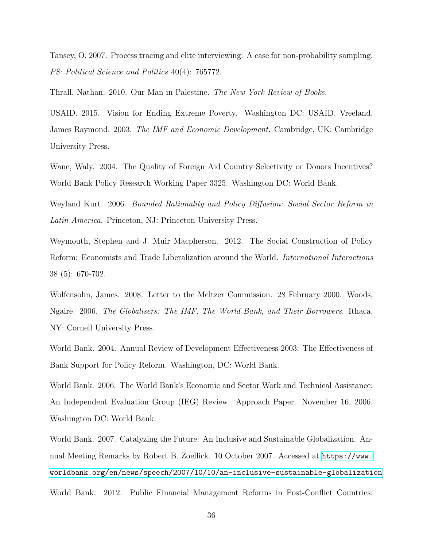Tansey, O. 2007. Process tracing and elite interviewing: A case for non-probability sampling. PS: Political Science and Politics 40(4): 765772.

Thrall, Nathan. 2010. Our Man in Palestine. The New York Review of Books.

USAID. 2015. Vision for Ending Extreme Poverty. Washington DC: USAID. Vreeland, James Raymond. 2003. The IMF and Economic Development. Cambridge, UK: Cambridge University Press.

Wane, Waly. 2004. The Quality of Foreign Aid Country Selectivity or Donors Incentives? World Bank Policy Research Working Paper 3325. Washington DC: World Bank.

Weyland Kurt. 2006. Bounded Rationality and Policy Diffusion: Social Sector Reform in Latin America. Princeton, NJ: Princeton University Press.

Weymouth, Stephen and J. Muir Macpherson. 2012. The Social Construction of Policy Reform: Economists and Trade Liberalization around the World. International Interactions 38 (5): 670-702.

Wolfensohn, James. 2008. Letter to the Meltzer Commission. 28 February 2000. Woods, Ngaire. 2006. The Globalisers: The IMF, The World Bank, and Their Borrowers. Ithaca, NY: Cornell University Press.

World Bank. 2004. Annual Review of Development Effectiveness 2003: The Effectiveness of Bank Support for Policy Reform. Washington, DC: World Bank.

World Bank. 2006. The World Bank's Economic and Sector Work and Technical Assistance: An Independent Evaluation Group (IEG) Review. Approach Paper. November 16, 2006. Washington DC: World Bank.

World Bank. 2007. Catalyzing the Future: An Inclusive and Sustainable Globalization. Annual Meeting Remarks by Robert B. Zoellick. 10 October 2007. Accessed at [https://www.](https://www.worldbank.org/en/news/speech/2007/10/10/an-inclusive-sustainable-globalization) [worldbank.org/en/news/speech/2007/10/10/an-inclusive-sustainable-globalization](https://www.worldbank.org/en/news/speech/2007/10/10/an-inclusive-sustainable-globalization)

World Bank. 2012. Public Financial Management Reforms in Post-Conflict Countries: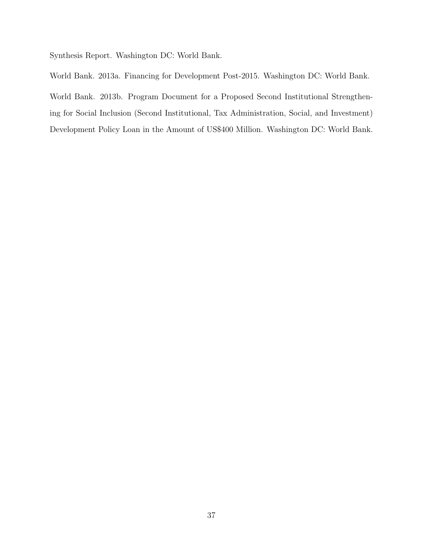Synthesis Report. Washington DC: World Bank.

World Bank. 2013a. Financing for Development Post-2015. Washington DC: World Bank. World Bank. 2013b. Program Document for a Proposed Second Institutional Strengthening for Social Inclusion (Second Institutional, Tax Administration, Social, and Investment) Development Policy Loan in the Amount of US\$400 Million. Washington DC: World Bank.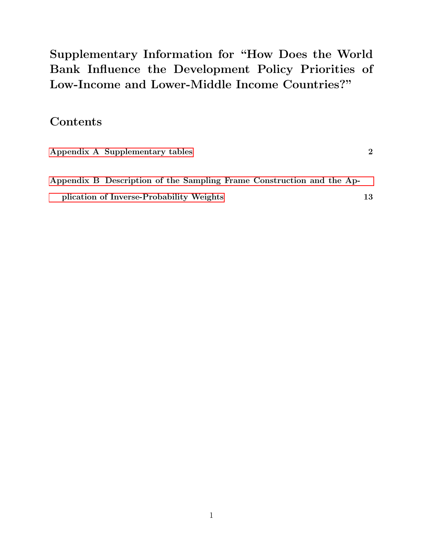Supplementary Information for "How Does the World Bank Influence the Development Policy Priorities of Low-Income and Lower-Middle Income Countries?"

### **Contents**

| Appendix A Supplementary tables                                       |    |
|-----------------------------------------------------------------------|----|
| Appendix B Description of the Sampling Frame Construction and the Ap- |    |
| plication of Inverse-Probability Weights                              | 13 |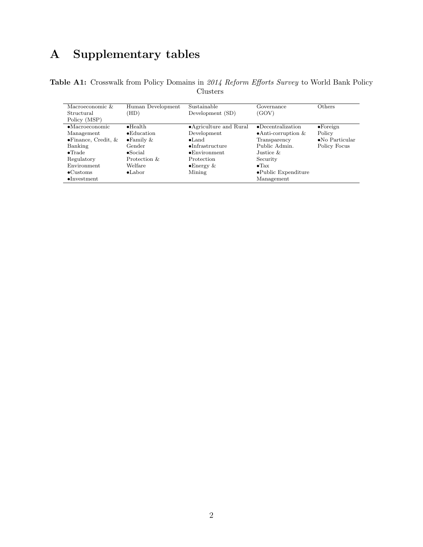## <span id="page-42-0"></span>A Supplementary tables

Table A1: Crosswalk from Policy Domains in 2014 Reform Efforts Survey to World Bank Policy Clusters

| Macroeconomic &              | Human Development   | Sustainable              | Governance                   | Others                  |
|------------------------------|---------------------|--------------------------|------------------------------|-------------------------|
| Structural                   | (HD)                | Development (SD)         | (GOV)                        |                         |
| Policy (MSP)                 |                     |                          |                              |                         |
| $\bullet$ Macroeconomic      | $\bullet$ Health    | • Agriculture and Rural  | $\bullet$ Decentralization   | $\bullet$ Foreign       |
| Management                   | $\bullet$ Education | Development              | $\bullet$ Anti-corruption &  | Policy                  |
| $\bullet$ Finance, Credit, & | $\bullet$ Family &  | $\bullet$ Land           | Transparency                 | $\bullet$ No Particular |
| Banking                      | Gender              | $\bullet$ Infrastructure | Public Admin.                | Policy Focus            |
| $\bullet$ Trade              | $\bullet$ Social    | $\bullet$ Environment    | Justice $\&$                 |                         |
| Regulatory                   | Protection &        | Protection               | Security                     |                         |
| Environment                  | Welfare             | $\bullet$ Energy &       | $\bullet$ Tax                |                         |
| $\bullet$ Customs            | $\bullet$ Labor     | Mining                   | $\bullet$ Public Expenditure |                         |
| $\bullet$ Investment         |                     |                          | Management                   |                         |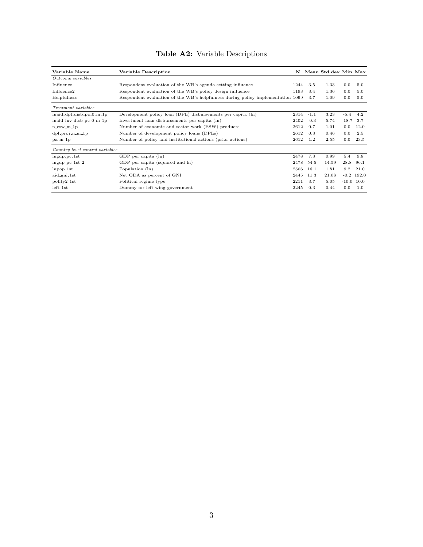### Table A2: Variable Descriptions

| Variable Name                              | Variable Description                                                            | N    |        | Mean Std.dev Min Max |              |              |
|--------------------------------------------|---------------------------------------------------------------------------------|------|--------|----------------------|--------------|--------------|
| Outcome variables                          |                                                                                 |      |        |                      |              |              |
| Influence                                  | Respondent evaluation of the WB's agenda-setting influence                      | 1244 | 3.5    | 1.33                 | 0.0          | 5.0          |
| Influence <sub>2</sub>                     | Respondent evaluation of the WB's policy design influence                       | 1193 | 3.4    | 1.36                 | 0.0          | 5.0          |
| Helpfulness                                | Respondent evaluation of the WB's helpfulness during policy implementation 1099 |      | 3.7    | 1.09                 | 0.0          | 5.0          |
| Treatment variables                        |                                                                                 |      |        |                      |              |              |
| lnaid_dpl_disb_pc_0_m_1p                   | Development policy loan (DPL) disbursements per capita (ln)                     | 2314 | $-1.1$ | 3.23                 | $-5.4$       | 4.2          |
| $lnaid_inv_disb_pc_0_m_l$                  | Investment loan disbursements per capita (ln)                                   | 2402 | $-0.3$ | 5.74                 | $-18.7$      | 3.7          |
| $n$ <sub>-esw</sub> $-m$ <sub>-</sub> $1p$ | Number of economic and sector work (ESW) products                               | 2612 | 0.7    | 1.01                 | 0.0          | 12.0         |
| dpl_proj_n_m_1p                            | Number of development policy loans (DPLs)                                       | 2612 | 0.3    | 0.46                 | 0.0          | 2.5          |
| $pa_m1p$                                   | Number of policy and institutional actions (prior actions)                      | 2612 | 1.2    | 2.55                 | 0.0          | 23.5         |
| Country-level control variables            |                                                                                 |      |        |                      |              |              |
| $ln\{dp_pc_1\}$ st                         | GDP per capita (ln)                                                             | 2478 | 7.3    | 0.99                 | 5.4          | 9.8          |
| $lngdp_pc_1st_2$                           | GDP per capita (squared and ln)                                                 | 2478 | 54.5   | 14.59                | 28.8         | 96.1         |
| $lnpop_1st$                                | Population (ln)                                                                 | 2506 | 16.1   | 1.81                 | 9.2          | 21.0         |
| aid_gni_1st                                | Net ODA as percent of GNI                                                       | 2445 | 11.3   | 21.08                |              | $-0.2$ 192.0 |
| polity2_1st                                | Political regime type                                                           | 2211 | 3.7    | 5.05                 | $-10.0$ 10.0 |              |
| $left\_1st$                                | Dummy for left-wing government                                                  | 2245 | 0.3    | 0.44                 | 0.0          | 1.0          |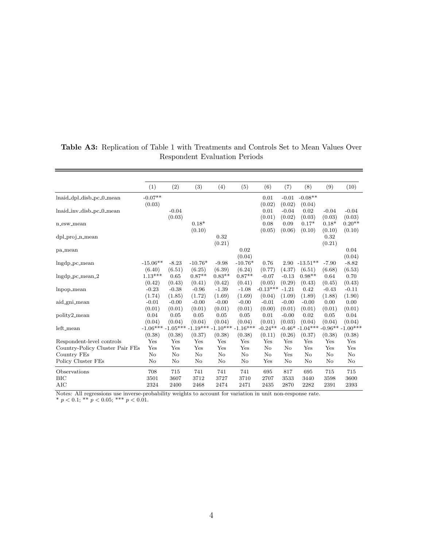|                                 | (1)                              | (2)     | (3)       | (4)            | (5)        | (6)        | (7)      | (8)               | (9)     | (10)               |
|---------------------------------|----------------------------------|---------|-----------|----------------|------------|------------|----------|-------------------|---------|--------------------|
| lnaid_dpl_disb_pc_0_mean        | $-0.07^{\ast\ast}$               |         |           |                |            | 0.01       | $-0.01$  | $-0.08**$         |         |                    |
|                                 | (0.03)                           |         |           |                |            | (0.02)     | (0.02)   | (0.04)            |         |                    |
| lnaid_inv_disb_pc_0_mean        |                                  | $-0.04$ |           |                |            | 0.01       | $-0.04$  | 0.02              | $-0.04$ | $-0.04$            |
|                                 |                                  | (0.03)  |           |                |            | (0.01)     | (0.02)   | (0.03)            | (0.03)  | (0.03)             |
| n_esw_mean                      |                                  |         | $0.18*$   |                |            | 0.08       | 0.09     | $0.17*$           | $0.18*$ | $0.20**$           |
|                                 |                                  |         | (0.10)    |                |            | (0.05)     | (0.06)   | (0.10)            | (0.10)  | (0.10)             |
| $dpl$ -proj-n-mean              |                                  |         |           | 0.32           |            |            |          |                   | 0.32    |                    |
|                                 |                                  |         |           | (0.21)         |            |            |          |                   | (0.21)  |                    |
| pa_mean                         |                                  |         |           |                | 0.02       |            |          |                   |         | 0.04               |
|                                 |                                  |         |           |                | (0.04)     |            |          |                   |         | (0.04)             |
| lngdp_pc_mean                   | $-15.06**$                       | $-8.23$ | $-10.76*$ | $-9.98$        | $-10.76*$  | 0.76       | 2.90     | $-13.51**$        | $-7.90$ | $-8.82$            |
|                                 | (6.40)                           | (6.51)  | (6.25)    | (6.39)         | (6.24)     | (0.77)     | (4.37)   | (6.51)            | (6.68)  | (6.53)             |
| $Ingdp_pc_mean_2$               | $1.13***$                        | 0.65    | $0.87**$  | $0.83**$       | $0.87**$   | $-0.07$    | $-0.13$  | $0.98**$          | 0.64    | 0.70               |
|                                 | (0.42)                           | (0.43)  | (0.41)    | (0.42)         | (0.41)     | (0.05)     | (0.29)   | (0.43)            | (0.45)  | (0.43)             |
| lnpop_mean                      | $-0.23$                          | $-0.38$ | $-0.96$   | $-1.39$        | $-1.08$    | $-0.13***$ | $-1.21$  | 0.42              | $-0.43$ | $-0.11$            |
|                                 | (1.74)                           | (1.85)  | (1.72)    | (1.69)         | (1.69)     | (0.04)     | (1.09)   | (1.89)            | (1.88)  | (1.90)             |
| aid_gni_mean                    | $-0.01$                          | $-0.00$ | $-0.00$   | $-0.00$        | $-0.00$    | $-0.01$    | $-0.00$  | $-0.00$           | 0.00    | 0.00               |
|                                 | (0.01)                           | (0.01)  | (0.01)    | (0.01)         | (0.01)     | (0.00)     | (0.01)   | (0.01)            | (0.01)  | (0.01)             |
| polity2_mean                    | 0.04                             | 0.05    | 0.05      | 0.05           | 0.05       | 0.01       | $-0.00$  | 0.02              | 0.05    | 0.04               |
|                                 | (0.04)                           | (0.04)  | (0.04)    | (0.04)         | (0.04)     | (0.01)     | (0.03)   | (0.04)            | (0.04)  | (0.04)             |
| left_mean                       | $-1.06***$ $-1.05***$ $-1.19***$ |         |           | $-1.10***$     | $-1.16***$ | $-0.24**$  |          | $-0.46* -1.04***$ |         | $-0.96***-1.00***$ |
|                                 | (0.38)                           | (0.38)  | (0.37)    | (0.38)         | (0.38)     | (0.11)     | (0.26)   | (0.37)            | (0.38)  | (0.38)             |
| Respondent-level controls       | Yes                              | Yes     | Yes       | Yes            | Yes        | Yes        | Yes      | Yes               | Yes     | Yes                |
| Country-Policy Cluster Pair FEs | Yes                              | Yes     | Yes       | Yes            | Yes        | No         | No       | Yes               | Yes     | Yes                |
| Country FEs                     | No                               | No      | No        | No             | No         | No         | Yes      | No                | No      | No                 |
| Policy Cluster FEs              | No                               | No      | No        | No             | No         | Yes        | $\rm No$ | No                | No      | No                 |
| Observations                    | 708                              | 715     | 741       | 741            | 741        | 695        | 817      | 695               | 715     | 715                |
| BIC                             | 3501                             | 3607    | 3712      | 3727           | 3710       | 2707       | 3533     | 3440              | 3598    | 3600               |
| AIC                             | 2324                             | 2400    | 2468      | 2474           | 2471       | 2435       | 2870     | 2282              | 2391    | 2393               |
| $NT + L$<br>$\overline{A}$ 11   | 1.1.1114                         | 2.114   |           | $\overline{c}$ | 2.12.1     | ÷л.        |          |                   |         |                    |

#### Table A3: Replication of Table 1 with Treatments and Controls Set to Mean Values Over Respondent Evaluation Periods

Notes: All regressions use inverse-probability weights to account for variation in unit non-response rate.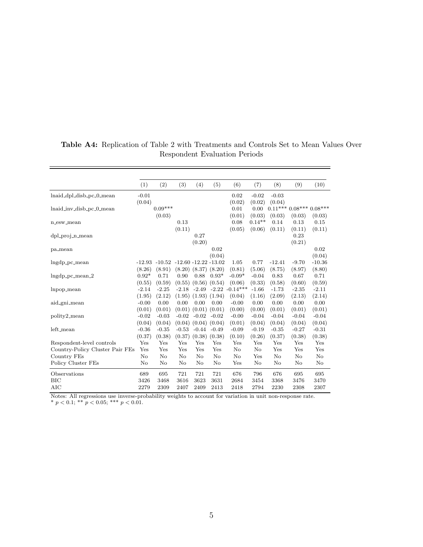|                                   | (1)     | (2)               | (3)                      | (4)               | (5)                | (6)              | (7)      | (8)      | (9)     | (10)                    |
|-----------------------------------|---------|-------------------|--------------------------|-------------------|--------------------|------------------|----------|----------|---------|-------------------------|
| lnaid_dpl_disb_pc_0_mean          | $-0.01$ |                   |                          |                   |                    | 0.02             | $-0.02$  | $-0.03$  |         |                         |
|                                   | (0.04)  |                   |                          |                   |                    | (0.02)           | (0.02)   | (0.04)   |         |                         |
| lnaid_inv_disb_pc_0_mean          |         | $0.09***$         |                          |                   |                    | 0.01             | 0.00     |          |         | $0.11***0.08***0.08***$ |
|                                   |         | (0.03)            |                          |                   |                    | (0.01)           | (0.03)   | (0.03)   | (0.03)  | (0.03)                  |
| n_esw_mean                        |         |                   | 0.13                     |                   |                    | 0.08             | $0.14**$ | 0.14     | 0.13    | 0.15                    |
|                                   |         |                   | (0.11)                   |                   |                    | (0.05)           | (0.06)   | (0.11)   | (0.11)  | (0.11)                  |
| $dpl$ -proj-n-mean                |         |                   |                          | 0.27              |                    |                  |          |          | 0.23    |                         |
|                                   |         |                   |                          | (0.20)            |                    |                  |          |          | (0.21)  |                         |
| pa_mean                           |         |                   |                          |                   | 0.02               |                  |          |          |         | 0.02                    |
|                                   |         |                   |                          |                   | (0.04)             |                  |          |          |         | (0.04)                  |
| $Ingdp_pc_mean$                   |         | $-12.93$ $-10.52$ | $-12.60 - 12.22 - 13.02$ |                   |                    | 1.05             | 0.77     | $-12.41$ | $-9.70$ | $-10.36$                |
|                                   | (8.26)  | (8.91)            | (8.20)                   | (8.37)            | (8.20)             | (0.81)           | (5.06)   | (8.75)   | (8.97)  | (8.80)                  |
| $Ingdp_pc_mean_2$                 | $0.92*$ | 0.71              | 0.90                     | 0.88              | $0.93*$            | $-0.09*$         | $-0.04$  | 0.83     | 0.67    | 0.71                    |
|                                   | (0.55)  | (0.59)            | (0.55)                   | (0.56)            | (0.54)             | (0.06)           | (0.33)   | (0.58)   | (0.60)  | (0.59)                  |
| lnpop_mean                        | $-2.14$ | $-2.25$           | $-2.18$                  | $-2.49$           | $-2.22$            | $-0.14***$       | $-1.66$  | $-1.73$  | $-2.35$ | $-2.11$                 |
|                                   | (1.95)  | (2.12)            | (1.95)                   | (1.93)            | (1.94)             | (0.04)           | (1.16)   | (2.09)   | (2.13)  | (2.14)                  |
| aid_gni_mean                      | $-0.00$ | 0.00              | 0.00                     | 0.00              | 0.00               | $-0.00$          | 0.00     | 0.00     | 0.00    | 0.00                    |
|                                   | (0.01)  | (0.01)            | (0.01)                   | $(0.01)$ $(0.01)$ |                    | (0.00)           | (0.00)   | (0.01)   | (0.01)  | (0.01)                  |
| polity2_mean                      | $-0.02$ | $-0.03$           | $-0.02$                  | $-0.02$           | $-0.02$            | $-0.00$          | $-0.04$  | $-0.04$  | $-0.04$ | $-0.04$                 |
|                                   | (0.04)  | (0.04)            | (0.04)                   | $(0.04)$ $(0.04)$ |                    | (0.01)           | (0.04)   | (0.04)   | (0.04)  | (0.04)                  |
| left_mean                         | $-0.36$ | $-0.35$           | $-0.53$                  | $-0.44$           | $-0.49$            | $-0.09$          | $-0.19$  | $-0.35$  | $-0.27$ | $-0.31$                 |
|                                   | (0.37)  | (0.38)            | (0.37)                   | $(0.38)$ $(0.38)$ |                    | (0.10)           | (0.26)   | (0.37)   | (0.38)  | (0.38)                  |
| Respondent-level controls         | Yes     | Yes               | Yes                      | Yes               | Yes                | Yes              | Yes      | Yes      | Yes     | Yes                     |
| Country-Policy Cluster Pair FEs   | Yes     | Yes               | Yes                      | Yes               | Yes                | No               | $\rm No$ | Yes      | Yes     | Yes                     |
| Country FEs                       | No      | No                | No                       | No                | No                 | No               | Yes      | $\rm No$ | No      | No                      |
| Policy Cluster FEs                | No      | No                | No                       | No                | No                 | Yes              | $\rm No$ | No       | No      | No                      |
| Observations                      | 689     | 695               | 721                      | 721               | 721                | 676              | 796      | 676      | 695     | 695                     |
| <b>BIC</b>                        | 3426    | 3468              | 3616                     | 3623              | 3631               | 2684             | 3454     | 3368     | 3476    | 3470                    |
| AIC<br>$\overline{X^T}$<br>$A$ 11 | 2279    | 2309<br>1.111     | 2407<br>$+ 11$           | 2409              | 2413<br>$\epsilon$ | 2418<br>$\cdots$ | 2794     | 2230     | 2308    | 2307                    |

#### Table A4: Replication of Table 2 with Treatments and Controls Set to Mean Values Over Respondent Evaluation Periods

Notes: All regressions use inverse-probability weights to account for variation in unit non-response rate.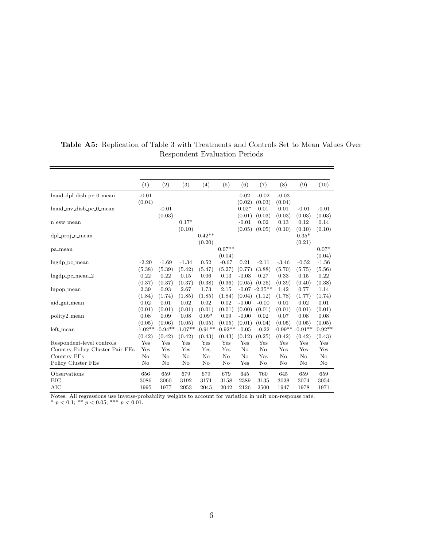|                                         | (1)      | (2)                       | (3)       | (4)       | (5)       | (6)            | (7)                  | (8)                           | (9)      | (10)    |
|-----------------------------------------|----------|---------------------------|-----------|-----------|-----------|----------------|----------------------|-------------------------------|----------|---------|
| lnaid_dpl_disb_pc_0_mean                | $-0.01$  |                           |           |           |           | 0.02           | $-0.02$              | $-0.03$                       |          |         |
|                                         | (0.04)   |                           |           |           |           | (0.02)         | (0.03)               | (0.04)                        |          |         |
| lnaid_inv_disb_pc_0_mean                |          | $-0.01$                   |           |           |           | $0.02*$        | 0.01                 | 0.01                          | $-0.01$  | $-0.01$ |
|                                         |          | (0.03)                    |           |           |           | (0.01)         | (0.03)               | (0.03)                        | (0.03)   | (0.03)  |
| n_esw_mean                              |          |                           | $0.17*$   |           |           | $-0.01$        | 0.02                 | 0.13                          | 0.12     | 0.14    |
|                                         |          |                           | (0.10)    |           |           | (0.05)         | (0.05)               | (0.10)                        | (0.10)   | (0.10)  |
| dpl_proj_n_mean                         |          |                           |           | $0.42**$  |           |                |                      |                               | $0.35*$  |         |
|                                         |          |                           |           | (0.20)    |           |                |                      |                               | (0.21)   |         |
| pa_mean                                 |          |                           |           |           | $0.07**$  |                |                      |                               |          | $0.07*$ |
|                                         |          |                           |           |           | (0.04)    |                |                      |                               |          | (0.04)  |
| $Ingdp_pc_mean$                         | $-2.20$  | $-1.69$                   | $-1.34$   | 0.52      | $-0.67$   | 0.21           | $-2.11$              | $-3.46$                       | $-0.52$  | $-1.56$ |
|                                         | (5.38)   | (5.39)                    | (5.42)    | (5.47)    | (5.27)    | (0.77)         | (3.88)               | (5.70)                        | (5.75)   | (5.56)  |
| $Ingdp_pc_mean_2$                       | 0.22     | 0.22                      | 0.15      | 0.06      | 0.13      | $-0.03$        | 0.27                 | 0.33                          | 0.15     | 0.22    |
|                                         | (0.37)   | (0.37)                    | (0.37)    | (0.38)    | (0.36)    | (0.05)         | (0.26)               | (0.39)                        | (0.40)   | (0.38)  |
| lnpop_mean                              | 2.39     | 0.93                      | 2.67      | 1.73      | 2.15      |                | $-0.07 -2.35**$      | 1.42                          | 0.77     | 1.14    |
|                                         | (1.84)   | (1.74)                    | (1.85)    | (1.85)    | (1.84)    | (0.04)         | (1.12)               | (1.78)                        | (1.77)   | (1.74)  |
| aid_gni_mean                            | 0.02     | 0.01                      | 0.02      | 0.02      | 0.02      | $-0.00$        | $-0.00$              | 0.01                          | 0.02     | 0.01    |
|                                         | (0.01)   | (0.01)                    | (0.01)    | (0.01)    | (0.01)    | (0.00)         | (0.01)               | (0.01)                        | (0.01)   | (0.01)  |
| polity2_mean                            | 0.08     | 0.09                      | 0.08      | $0.09*$   | 0.09      | $-0.00$        | 0.02                 | 0.07                          | 0.08     | 0.08    |
|                                         | (0.05)   | (0.06)                    | (0.05)    | (0.05)    | (0.05)    | (0.01)         | (0.04)               | (0.05)                        | (0.05)   | (0.05)  |
| left_mean                               |          | $-1.02** -0.94** -1.07**$ |           | $-0.91**$ | $-0.92**$ | $-0.05$        | $-0.22$              | $-0.99**$ $-0.91**$ $-0.92**$ |          |         |
|                                         | (0.42)   | (0.42)                    | (0.42)    | (0.43)    | (0.43)    | (0.12)         | (0.25)               | (0.42)                        | (0.42)   | (0.43)  |
| Respondent-level controls               | Yes      | Yes                       | Yes       | Yes       | Yes       | Yes            | Yes                  | Yes                           | Yes      | Yes     |
| Country-Policy Cluster Pair FEs         | Yes      | Yes                       | Yes       | Yes       | Yes       | No             | No                   | Yes                           | Yes      | Yes     |
| Country FEs                             | $\rm No$ | No                        | No        | No        | $\rm No$  | N <sub>o</sub> | Yes                  | $\rm No$                      | $\rm No$ | No      |
| Policy Cluster FEs                      | No       | $\rm No$                  | No        | No        | No        | Yes            | No                   | No                            | No       | No      |
| Observations                            | 656      | 659                       | 679       | 679       | 679       | 645            | 760                  | 645                           | 659      | 659     |
| BIC                                     | 3086     | 3060                      | 3192      | 3171      | 3158      | 2389           | 3135                 | 3028                          | 3074     | 3054    |
| AIC                                     | 1995     | 1977                      | 2053      | 2045      | 2042      | 2126           | 2500                 | 1947                          | 1978     | 1971    |
| $\overline{X^T}$<br>$A$ 11<br>$\bullet$ |          | 1.111                     | $\cdot$ 1 |           |           |                | $\ddot{\phantom{0}}$ |                               |          |         |

#### Table A5: Replication of Table 3 with Treatments and Controls Set to Mean Values Over Respondent Evaluation Periods

 $=$ 

Notes: All regressions use inverse-probability weights to account for variation in unit non-response rate.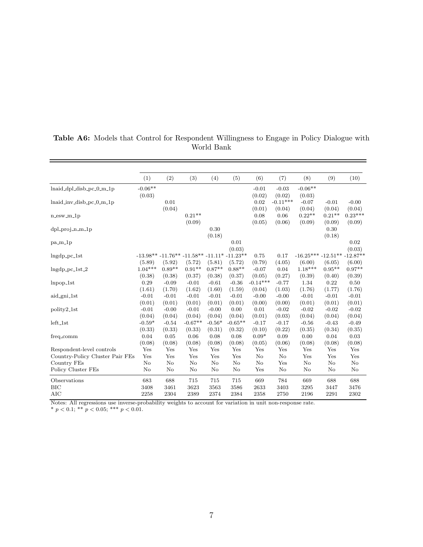|                                 | (1)       | (2)       | (3)                                           | (4)      | (5)       | (6)        | (7)        | (8)                            | (9)      | (10)      |
|---------------------------------|-----------|-----------|-----------------------------------------------|----------|-----------|------------|------------|--------------------------------|----------|-----------|
| $lnaid_dpl_disb_pc_0_m_1p$      | $-0.06**$ |           |                                               |          |           | $-0.01$    | $-0.03$    | $-0.06**$                      |          |           |
|                                 | (0.03)    |           |                                               |          |           | (0.02)     | (0.02)     | (0.03)                         |          |           |
| $lnaid_inv-disb_pc_0_m_1p$      |           | 0.01      |                                               |          |           | $\rm 0.02$ | $-0.11***$ | $-0.07$                        | $-0.01$  | $-0.00$   |
|                                 |           | (0.04)    |                                               |          |           | (0.01)     | (0.04)     | (0.04)                         | (0.04)   | (0.04)    |
| $n$ _esw_m_1 $p$                |           |           | $0.21**$                                      |          |           | 0.08       | 0.06       | $0.22**$                       | $0.21**$ | $0.23***$ |
|                                 |           |           | (0.09)                                        |          |           | (0.05)     | (0.06)     | (0.09)                         | (0.09)   | (0.09)    |
| $dpl$ -proj-n-m-1p              |           |           |                                               | 0.30     |           |            |            |                                | 0.30     |           |
|                                 |           |           |                                               | (0.18)   |           |            |            |                                | (0.18)   |           |
| $pa_m1p$                        |           |           |                                               |          | 0.01      |            |            |                                |          | 0.02      |
|                                 |           |           |                                               |          | (0.03)    |            |            |                                |          | (0.03)    |
| $Ingdp_pc_1st$                  |           |           | $-13.98** -11.76** -11.58** -11.11* -11.23**$ |          |           | 0.75       | 0.17       | $-16.25*** -12.51*** -12.87**$ |          |           |
|                                 | (5.89)    | (5.92)    | (5.72)                                        | (5.81)   | (5.72)    | (0.79)     | (4.05)     | (6.00)                         | (6.05)   | (6.00)    |
| $Ingdp_pc_1st_2$                | $1.04***$ | $0.89**$  | $0.91**$                                      | $0.87**$ | $0.88**$  | $-0.07$    | 0.04       | $1.18***$                      | $0.95**$ | $0.97**$  |
|                                 | (0.38)    | (0.38)    | (0.37)                                        | (0.38)   | (0.37)    | (0.05)     | (0.27)     | (0.39)                         | (0.40)   | (0.39)    |
| $lnpop_1$ st                    | 0.29      | $-0.09$   | $-0.01$                                       | $-0.61$  | $-0.36$   | $-0.14***$ | $-0.77$    | 1.34                           | 0.22     | 0.50      |
|                                 | (1.61)    | (1.70)    | (1.62)                                        | (1.60)   | (1.59)    | (0.04)     | (1.03)     | (1.76)                         | (1.77)   | (1.76)    |
| aid_gni_1st                     | $-0.01$   | $-0.01$   | $-0.01$                                       | $-0.01$  | $-0.01$   | $-0.00$    | $-0.00$    | $-0.01$                        | $-0.01$  | $-0.01$   |
|                                 | (0.01)    | (0.01)    | (0.01)                                        | (0.01)   | (0.01)    | (0.00)     | (0.00)     | (0.01)                         | (0.01)   | (0.01)    |
| polity2 <sub>-1st</sub>         | $-0.01$   | $-0.00$   | $-0.01$                                       | $-0.00$  | 0.00      | 0.01       | $-0.02$    | $-0.02$                        | $-0.02$  | $-0.02$   |
|                                 | (0.04)    | (0.04)    | (0.04)                                        | (0.04)   | (0.04)    | (0.01)     | (0.03)     | (0.04)                         | (0.04)   | (0.04)    |
| $left\_1st$                     | $-0.59*$  | $-0.54$   | $-0.67**$                                     | $-0.56*$ | $-0.65**$ | $-0.17$    | $-0.17$    | $-0.56$                        | $-0.43$  | $-0.49$   |
|                                 | (0.33)    | (0.33)    | (0.33)                                        | (0.31)   | (0.32)    | (0.10)     | (0.22)     | (0.35)                         | (0.34)   | (0.35)    |
| freq_comm                       | 0.04      | 0.05      | 0.06                                          | 0.08     | 0.08      | $0.09*$    | 0.09       | 0.00                           | 0.04     | 0.03      |
|                                 | (0.08)    | (0.08)    | (0.08)                                        | (0.08)   | (0.08)    | (0.05)     | (0.06)     | (0.08)                         | (0.08)   | (0.08)    |
| Respondent-level controls       | Yes       | Yes       | Yes                                           | Yes      | Yes       | Yes        | Yes        | Yes                            | Yes      | Yes       |
| Country-Policy Cluster Pair FEs | Yes       | Yes       | Yes                                           | Yes      | Yes       | $\rm No$   | No         | Yes                            | Yes      | Yes       |
| Country FEs                     | No        | $\rm No$  | No                                            | No       | No        | $\rm No$   | Yes        | $\rm No$                       | No       | No        |
| Policy Cluster FEs              | No        | No        | $\rm No$                                      | No       | No        | Yes        | No         | No                             | No       | No        |
| Observations                    | 683       | 688       | 715                                           | 715      | 715       | 669        | 784        | 669                            | 688      | 688       |
| <b>BIC</b>                      | 3408      | 3461      | 3623                                          | 3563     | 3586      | 2633       | 3403       | 3295                           | 3447     | 3476      |
| AIC                             | 2258      | 2304      | 2389                                          | 2374     | 2384      | 2358       | 2750       | 2196                           | 2291     | 2302      |
| $\overline{M}$<br>$A$ 11        | 1.11      | $\cdot$ 1 |                                               |          |           |            |            |                                |          |           |

#### <span id="page-47-0"></span>Table A6: Models that Control for Respondent Willingness to Engage in Policy Dialogue with World Bank

 $=$ 

Notes: All regressions use inverse-probability weights to account for variation in unit non-response rate.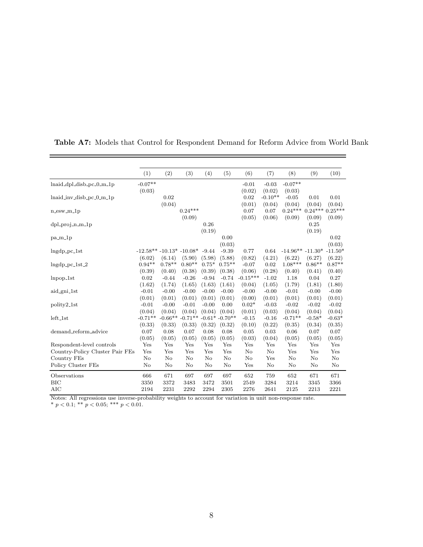|                                 | (1)                        | (2)                 | (3)                 | (4)     | (5)                        | (6)               | (7)               | (8)                 | (9)                | (10)               |
|---------------------------------|----------------------------|---------------------|---------------------|---------|----------------------------|-------------------|-------------------|---------------------|--------------------|--------------------|
| $lnaid_dpl_disb_pc_0_m_1p$      | $-0.07**$                  |                     |                     |         |                            | $-0.01$           | $-0.03$           | $-0.07**$           |                    |                    |
|                                 | (0.03)                     |                     |                     |         |                            | (0.02)            | (0.02)            | (0.03)              |                    |                    |
| $lnaid_inv-disb_pc_0_m_1p$      |                            | 0.02                |                     |         |                            | 0.02              | $-0.10**$         | $-0.05$             | 0.01               | 0.01               |
|                                 |                            | (0.04)              |                     |         |                            | (0.01)            | (0.04)            | (0.04)              | (0.04)             | (0.04)             |
| $n$ _esw_m_1 $p$                |                            |                     | $0.24***$           |         |                            | 0.07              | 0.07              | $0.24***$           | $0.24***$          | $0.25***$          |
|                                 |                            |                     | (0.09)              |         |                            | (0.05)            | (0.06)            | (0.09)              | (0.09)             | (0.09)             |
| $dpl$ -proj-n-m-1p              |                            |                     |                     | 0.26    |                            |                   |                   |                     | 0.25               |                    |
|                                 |                            |                     |                     | (0.19)  |                            |                   |                   |                     | (0.19)             |                    |
| $pa_m1p$                        |                            |                     |                     |         | 0.00                       |                   |                   |                     |                    | 0.02               |
|                                 |                            |                     |                     |         | (0.03)                     |                   |                   |                     |                    | (0.03)             |
| $Ingdp_pc_1$ st                 | $-12.58** -10.13* -10.08*$ |                     |                     | $-9.44$ | $-9.39$                    | 0.77              | 0.64              | $-14.96** -11.30*$  |                    | $-11.50*$          |
|                                 | (6.02)                     | (6.14)              | (5.90)              | (5.98)  | (5.88)                     | (0.82)            | (4.21)            | (6.22)              | (6.27)             | (6.22)             |
| $ln\{gdp_pc_1st_2\}$            | $0.94**$                   | $0.78**$            | $0.80**$            | $0.75*$ | $0.75**$                   | $-0.07$           | 0.02              | $1.08***$           | $0.86**$           | $0.87**$           |
|                                 | (0.39)                     | (0.40)              | (0.38)              | (0.39)  | (0.38)                     | (0.06)            | (0.28)            | (0.40)              | (0.41)             | (0.40)             |
| $lnpop_1$ st                    | 0.02                       | $-0.44$             | $-0.26$             | $-0.94$ | $-0.74$                    | $-0.15***$        | $-1.02$           | 1.18                | 0.04               | 0.27               |
|                                 | (1.62)                     | (1.74)              | (1.65)              | (1.63)  | (1.61)                     | (0.04)            | (1.05)            | (1.79)              | (1.81)             | (1.80)             |
| aid_gni_1st                     | $-0.01$                    | $-0.00$             | $-0.00$             | $-0.00$ | $-0.00$                    | $-0.00$           | $-0.00$           | $-0.01$             | $-0.00$            | $-0.00$            |
|                                 | (0.01)                     | (0.01)              | (0.01)              | (0.01)  | (0.01)                     | (0.00)            | (0.01)            | (0.01)              | (0.01)             | (0.01)             |
| polity2 <sub>-1st</sub>         | $-0.01$                    | $-0.00$             | $-0.01$             | $-0.00$ | 0.00                       | $0.02*$           | $-0.03$           | $-0.02$             | $-0.02$            | $-0.02$            |
| $left\_1st$                     | (0.04)<br>$-0.71**$        | (0.04)<br>$-0.66**$ | (0.04)<br>$-0.71**$ | (0.04)  | (0.04)<br>$-0.61* -0.70**$ | (0.01)<br>$-0.15$ | (0.03)<br>$-0.16$ | (0.04)<br>$-0.71**$ | (0.04)<br>$-0.58*$ | (0.04)<br>$-0.63*$ |
|                                 | (0.33)                     | (0.33)              | (0.33)              | (0.32)  | (0.32)                     | (0.10)            | (0.22)            | (0.35)              | (0.34)             | (0.35)             |
| demand_reform_advice            | 0.07                       | 0.08                | 0.07                | 0.08    | 0.08                       | 0.05              | 0.03              | 0.06                | 0.07               | 0.07               |
|                                 | (0.05)                     | (0.05)              | (0.05)              | (0.05)  | (0.05)                     | (0.03)            | (0.04)            | (0.05)              | (0.05)             | (0.05)             |
| Respondent-level controls       | Yes                        | Yes                 | Yes                 | Yes     | Yes                        | Yes               | Yes               | Yes                 | Yes                | Yes                |
| Country-Policy Cluster Pair FEs | Yes                        | Yes                 | Yes                 | Yes     | Yes                        | No                | No                | Yes                 | Yes                | Yes                |
| Country FEs                     | No                         | No                  | No                  | No      | $\rm No$                   | No                | Yes               | No                  | No                 | No                 |
| Policy Cluster FEs              | No                         | No                  | No                  | No      | $\rm No$                   | Yes               | No                | No                  | No                 | $\rm No$           |
| Observations                    | 666                        | 671                 | 697                 | 697     | 697                        | 652               | 759               | 652                 | 671                | 671                |
| BIC                             | 3350                       | 3372                | 3483                | 3472    | 3501                       | 2549              | 3284              | 3214                | 3345               | 3366               |
| <b>AIC</b>                      | 2194                       | 2231                | 2292                | 2294    | 2305                       | 2276              | 2641              | 2125                | 2213               | 2221               |

<span id="page-48-0"></span>Table A7: Models that Control for Respondent Demand for Reform Advice from World Bank

 $\qquad \qquad$ 

Notes: All regressions use inverse-probability weights to account for variation in unit non-response rate.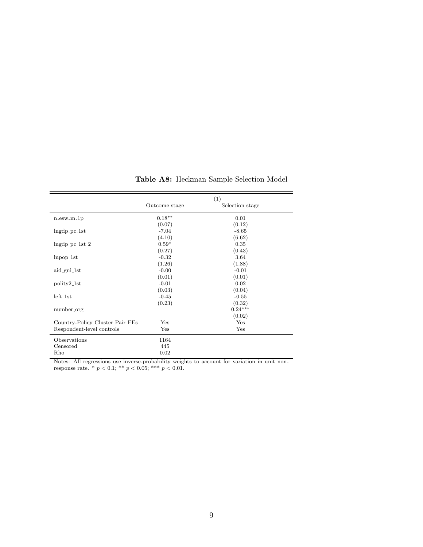<span id="page-49-0"></span>

|                                 |               | (1)             |
|---------------------------------|---------------|-----------------|
|                                 | Outcome stage | Selection stage |
| $n$ _esw_m_1 $p$                | $0.18**$      | 0.01            |
|                                 | (0.07)        | (0.12)          |
| $Ingdp_pc_1st$                  | $-7.04$       | $-8.65$         |
|                                 | (4.10)        | (6.62)          |
| $ln\{gdp_pc_1st_2\}$            | $0.59*$       | 0.35            |
|                                 | (0.27)        | (0.43)          |
| $lnpop_1$ st                    | $-0.32$       | 3.64            |
|                                 | (1.26)        | (1.88)          |
| aid_gni_1st                     | $-0.00$       | $-0.01$         |
|                                 | (0.01)        | (0.01)          |
| polity2_1st                     | $-0.01$       | 0.02            |
|                                 | (0.03)        | (0.04)          |
| $left\_1st$                     | $-0.45$       | $-0.55$         |
|                                 | (0.23)        | (0.32)          |
| number_org                      |               | $0.24***$       |
|                                 |               | (0.02)          |
| Country-Policy Cluster Pair FEs | Yes           | Yes             |
| Respondent-level controls       | Yes           | Yes             |
| Observations                    | 1164          |                 |
| Censored                        | 445           |                 |
| Rho                             | 0.02          |                 |

Table A8: Heckman Sample Selection Model

Notes: All regressions use inverse-probability weights to account for variation in unit nonresponse rate.  $p < 0.1$ ; \*\*  $p < 0.05$ ; \*\*\*  $p < 0.01$ .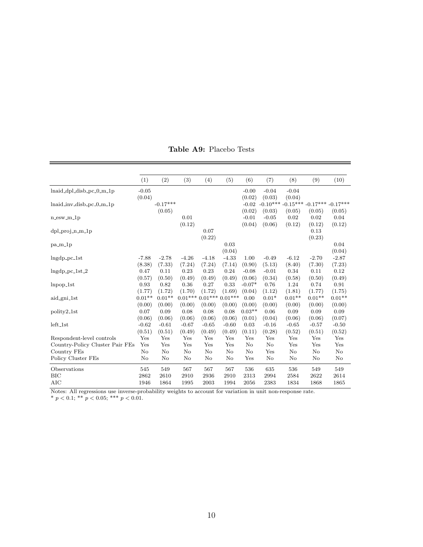<span id="page-50-0"></span>

|                                 | (1)      | (2)        | (3)              | (4)                   | (5)              | (6)      | (7)          | (8)                                         | (9)      | (10)     |
|---------------------------------|----------|------------|------------------|-----------------------|------------------|----------|--------------|---------------------------------------------|----------|----------|
| $lnaid_dpl_disb_pc_0_m_1p$      | $-0.05$  |            |                  |                       |                  | $-0.00$  | $-0.04$      | $-0.04$                                     |          |          |
|                                 | (0.04)   |            |                  |                       |                  | (0.02)   | (0.03)       | (0.04)                                      |          |          |
| $lnaid_inv-disb_pc_0_m_1p$      |          | $-0.17***$ |                  |                       |                  | $-0.02$  |              | $-0.10***$ $-0.15***$ $-0.17***$ $-0.17***$ |          |          |
|                                 |          | (0.05)     |                  |                       |                  | (0.02)   | (0.03)       | (0.05)                                      | (0.05)   | (0.05)   |
| $n$ _esw_m_1 $p$                |          |            | 0.01             |                       |                  | $-0.01$  | $-0.05$      | 0.02                                        | 0.02     | 0.04     |
|                                 |          |            | (0.12)           |                       |                  | (0.04)   | (0.06)       | (0.12)                                      | (0.12)   | (0.12)   |
| $dpl$ -proj-n-m-1p              |          |            |                  | 0.07                  |                  |          |              |                                             | 0.13     |          |
|                                 |          |            |                  | (0.22)                |                  |          |              |                                             | (0.23)   |          |
| $pa_m1p$                        |          |            |                  |                       | 0.03             |          |              |                                             |          | 0.04     |
|                                 |          |            |                  |                       | (0.04)           |          |              |                                             |          | (0.04)   |
| $ln\{gdp_pcc_1\}$ st            | $-7.88$  | $-2.78$    | $-4.26$          | $-4.18$               | $-4.33$          | 1.00     | $-0.49$      | $-6.12$                                     | $-2.70$  | $-2.87$  |
|                                 | (8.38)   | (7.33)     | (7.24)           | (7.24)                | (7.14)           | (0.90)   | (5.13)       | (8.40)                                      | (7.30)   | (7.23)   |
| $Ingdp_pc_1st_2$                | 0.47     | 0.11       | 0.23             | 0.23                  | 0.24             | $-0.08$  | $-0.01$      | 0.34                                        | 0.11     | 0.12     |
|                                 | (0.57)   | (0.50)     | (0.49)           | (0.49)                | (0.49)           | (0.06)   | (0.34)       | (0.58)                                      | (0.50)   | (0.49)   |
| $lnpop_1$ st                    | 0.93     | 0.82       | 0.36             | 0.27                  | 0.33             | $-0.07*$ | 0.76         | 1.24                                        | 0.74     | 0.91     |
|                                 | (1.77)   | (1.72)     | (1.70)           | (1.72)                | (1.69)           | (0.04)   | (1.12)       | (1.81)                                      | (1.77)   | (1.75)   |
| aid_gni_1st                     | $0.01**$ | $0.01**$   | $0.01***$        |                       | $0.01***0.01***$ | 0.00     | $0.01*$      | $0.01**$                                    | $0.01**$ | $0.01**$ |
|                                 | (0.00)   | (0.00)     | (0.00)           | (0.00)                | (0.00)           | (0.00)   | (0.00)       | (0.00)                                      | (0.00)   | (0.00)   |
| polity2 <sub>-1st</sub>         | 0.07     | 0.09       | 0.08             | 0.08                  | 0.08             | $0.03**$ | 0.06         | 0.09                                        | 0.09     | 0.09     |
|                                 | (0.06)   | (0.06)     | (0.06)           | (0.06)                | (0.06)           | (0.01)   | (0.04)       | (0.06)                                      | (0.06)   | (0.07)   |
| $left\_1st$                     | $-0.62$  | $-0.61$    | $-0.67$          | $-0.65$               | $-0.60$          | 0.03     | $-0.16$      | $-0.65$                                     | $-0.57$  | $-0.50$  |
|                                 | (0.51)   | (0.51)     | (0.49)           | (0.49)                | (0.49)           | (0.11)   | (0.28)       | (0.52)                                      | (0.51)   | (0.52)   |
| Respondent-level controls       | Yes      | Yes        | Yes              | $_{\rm Yes}$          | Yes              | Yes      | Yes          | Yes                                         | Yes      | Yes      |
| Country-Policy Cluster Pair FEs | Yes      | Yes        | Yes              | Yes                   | Yes              | No       | $\rm No$     | Yes                                         | Yes      | Yes      |
| Country FEs                     | No       | $\rm No$   | No               | $\rm No$              | No               | No       | Yes          | $\rm No$                                    | $\rm No$ | No       |
| Policy Cluster FEs              | No       | $\rm No$   | No               | $\rm No$              | No               | Yes      | $\rm No$     | $\rm No$                                    | $\rm No$ | No       |
| Observations                    | 545      | 549        | 567              | 567                   | 567              | 536      | 635          | 536                                         | 549      | 549      |
| <b>BIC</b>                      | 2862     | 2610       | 2910             | 2936                  | 2910             | 2313     | 2994         | 2584                                        | 2622     | 2614     |
| AIC                             | 1946     | 1864       | 1995             | 2003                  | 1994             | 2056     | 2383         | 1834                                        | 1868     | 1865     |
| $NT - A$<br>$A$ 11              |          | 1.1.11114  | t  1. <i>.</i> . | $\pm$ $\mathcal{C}$ . | 2.12.1           |          | $\mathbf{r}$ |                                             |          |          |

Table A9: Placebo Tests

Notes: All regressions use inverse-probability weights to account for variation in unit non-response rate.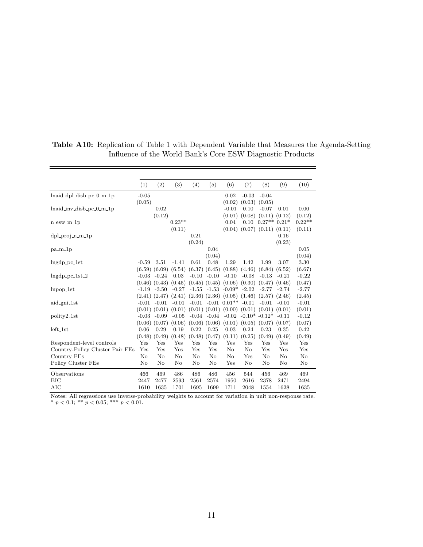|                                                                                                                          | (1)     | (2)               | (3)      | (4)     | (5)               | (6)                                          | (7)      | (8)                         | (9)      | (10)     |
|--------------------------------------------------------------------------------------------------------------------------|---------|-------------------|----------|---------|-------------------|----------------------------------------------|----------|-----------------------------|----------|----------|
| $lnaid_dpl_disb_pc_0_m_1p$                                                                                               | $-0.05$ |                   |          |         |                   | 0.02                                         | $-0.03$  | $-0.04$                     |          |          |
|                                                                                                                          | (0.05)  |                   |          |         |                   | (0.02)                                       | (0.03)   | (0.05)                      |          |          |
| $lnaid_inv-disb_pc_0_m_1p$                                                                                               |         | 0.02              |          |         |                   | $-0.01$                                      | 0.10     | $-0.07$                     | 0.01     | 0.00     |
|                                                                                                                          |         | (0.12)            |          |         |                   | (0.01)                                       | (0.08)   | (0.11)                      | (0.12)   | (0.12)   |
| $n$ -esw- $m$ -1 $p$                                                                                                     |         |                   | $0.23**$ |         |                   | 0.04                                         | 0.10     | $0.27**$                    | $0.21*$  | $0.22**$ |
|                                                                                                                          |         |                   | (0.11)   |         |                   | (0.04)                                       | (0.07)   | (0.11)                      | (0.11)   | (0.11)   |
| $dpl$ -proj-n-m- $1p$                                                                                                    |         |                   |          | 0.21    |                   |                                              |          |                             | 0.16     |          |
|                                                                                                                          |         |                   |          | (0.24)  |                   |                                              |          |                             | (0.23)   |          |
| $pa_m1p$                                                                                                                 |         |                   |          |         | 0.04              |                                              |          |                             |          | 0.05     |
|                                                                                                                          |         |                   |          |         | (0.04)            |                                              |          |                             |          | (0.04)   |
| $ln\{qp_pc_1st}$                                                                                                         | $-0.59$ | 3.51              | $-1.41$  | 0.61    | 0.48              | 1.29                                         | 1.42     | 1.99                        | 3.07     | 3.30     |
|                                                                                                                          |         | $(6.59)$ $(6.09)$ | (6.54)   |         | $(6.37)$ $(6.45)$ | (0.88)                                       | (4.46)   | (6.84)                      | (6.52)   | (6.67)   |
| $ln\{gdp_pc_1st_2\}$                                                                                                     |         | $-0.03 - 0.24$    | 0.03     | $-0.10$ | $-0.10$           | $-0.10$                                      | $-0.08$  | $-0.13$                     | $-0.21$  | $-0.22$  |
|                                                                                                                          |         | $(0.46)$ $(0.43)$ | (0.45)   |         |                   | $(0.45)$ $(0.45)$ $(0.06)$                   | (0.30)   | (0.47)                      | (0.46)   | (0.47)   |
| $lnpop_1$ st                                                                                                             |         | $-1.19 - 3.50$    | $-0.27$  |         |                   | $-1.55$ $-1.53$ $-0.09*$                     | $-2.02$  | $-2.77$                     | $-2.74$  | $-2.77$  |
|                                                                                                                          |         | $(2.41)$ $(2.47)$ | (2.41)   |         |                   | $(2.36)$ $(2.36)$ $(0.05)$ $(1.46)$          |          | (2.57)                      | (2.46)   | (2.45)   |
| aid_gni_1st                                                                                                              |         | $-0.01 - 0.01$    | $-0.01$  |         |                   | $-0.01$ $-0.01$ $0.01**$                     | $-0.01$  | $-0.01$                     | $-0.01$  | $-0.01$  |
|                                                                                                                          |         | $(0.01)$ $(0.01)$ | (0.01)   |         |                   | $(0.01)$ $(0.01)$ $(0.00)$ $(0.01)$ $(0.01)$ |          |                             | (0.01)   | (0.01)   |
| polity2 <sub>-1st</sub>                                                                                                  |         | $-0.03 - 0.09$    | $-0.05$  | $-0.04$ | $-0.04$           |                                              |          | $-0.02$ $-0.10^*$ $-0.12^*$ | $-0.11$  | $-0.12$  |
|                                                                                                                          |         | $(0.06)$ $(0.07)$ | (0.06)   |         | $(0.06)$ $(0.06)$ | (0.01)                                       | (0.05)   | (0.07)                      | (0.07)   | (0.07)   |
| $left\_1st$                                                                                                              | 0.06    | 0.29              | 0.19     | 0.22    | 0.25              | 0.03                                         | 0.24     | 0.23                        | 0.35     | 0.42     |
|                                                                                                                          | (0.48)  | (0.49)            | (0.48)   | (0.48)  | (0.47)            | (0.11)                                       | (0.25)   | (0.49)                      | (0.49)   | (0.49)   |
| Respondent-level controls                                                                                                | Yes     | Yes               | Yes      | Yes     | Yes               | Yes                                          | Yes      | Yes                         | Yes      | Yes      |
| Country-Policy Cluster Pair FEs                                                                                          | Yes     | Yes               | Yes      | Yes     | Yes               | No                                           | $\rm No$ | Yes                         | Yes      | Yes      |
| Country FEs                                                                                                              | No      | $\rm No$          | No       | No      | No                | No                                           | Yes      | No                          | $\rm No$ | $\rm No$ |
| Policy Cluster FEs                                                                                                       | No      | $\rm No$          | No       | No      | No                | Yes                                          | $\rm No$ | No                          | $\rm No$ | $\rm No$ |
| Observations                                                                                                             | 466     | 469               | 486      | 486     | 486               | 456                                          | 544      | 456                         | 469      | 469      |
| <b>BIC</b>                                                                                                               | 2447    | 2477              | 2593     | 2561    | 2574              | 1950                                         | 2616     | 2378                        | 2471     | 2494     |
| <b>AIC</b>                                                                                                               | 1610    | 1635              | 1701     | 1695    | 1699              | 1711                                         | 2048     | 1554                        | 1628     | 1635     |
| $N_{\text{other}}$ $\Lambda$ U as $\mu$<br>mushahilitu waishta ta secorat fan wanistian in<br>المقممة<br>لمدارك فالمحادث |         |                   |          |         |                   |                                              |          |                             |          |          |

<span id="page-51-0"></span>Table A10: Replication of Table 1 with Dependent Variable that Measures the Agenda-Setting Influence of the World Bank's Core ESW Diagnostic Products

 $=$ 

Notes: All regressions use inverse-probability weights to account for variation in unit non-response rate. \*  $p < 0.1$ ; \*\*  $p < 0.05$ ; \*\*\*  $p < 0.01$ .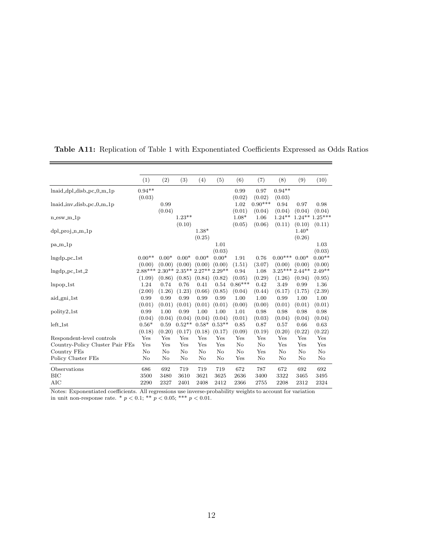|                                                    | (1)             | (2)      | (3)                  | (4)     | (5)      | (6)       | (7)       | (8)             | (9)     | (10)             |
|----------------------------------------------------|-----------------|----------|----------------------|---------|----------|-----------|-----------|-----------------|---------|------------------|
| $lnaid_dpl_disb_pc_0_m_1p$                         | $0.94**$        |          |                      |         |          | 0.99      | 0.97      | $0.94**$        |         |                  |
|                                                    | (0.03)          |          |                      |         |          | (0.02)    | (0.02)    | (0.03)          |         |                  |
| lnaid_inv_disb_pc_0_m_1p                           |                 | 0.99     |                      |         |          | 1.02      | $0.90***$ | 0.94            | 0.97    | 0.98             |
|                                                    |                 | (0.04)   |                      |         |          | (0.01)    | (0.04)    | (0.04)          | (0.04)  | (0.04)           |
| $n$ _esw_m_1 $p$                                   |                 |          | $1.23**$             |         |          | $1.08*$   | 1.06      | $1.24***$       |         | $1.24***1.25***$ |
|                                                    |                 |          | (0.10)               |         |          | (0.05)    | (0.06)    | (0.11)          | (0.10)  | (0.11)           |
| $dpl$ -proj-n-m-1p                                 |                 |          |                      | $1.38*$ |          |           |           |                 | $1.40*$ |                  |
|                                                    |                 |          |                      | (0.25)  |          |           |           |                 | (0.26)  |                  |
| $pa_m1p$                                           |                 |          |                      |         | 1.01     |           |           |                 |         | 1.03             |
|                                                    |                 |          |                      |         | (0.03)   |           |           |                 |         | (0.03)           |
| $Ingdp_pc_1st$                                     | $0.00**$        | $0.00*$  | $0.00*$              | $0.00*$ | $0.00*$  | 1.91      | 0.76      | $0.00***$       | $0.00*$ | $0.00**$         |
|                                                    | (0.00)          | (0.00)   | (0.00)               | (0.00)  | (0.00)   | (1.51)    | (3.07)    | (0.00)          | (0.00)  | (0.00)           |
| $ln\{dp_pc_1st_2\}$                                | $2.88***2.30**$ |          | $2.35**2.27**2.29**$ |         |          | 0.94      | 1.08      | $3.25***2.44**$ |         | $2.49**$         |
|                                                    | (1.09)          | (0.86)   | (0.85)               | (0.84)  | (0.82)   | (0.05)    | (0.29)    | (1.26)          | (0.94)  | (0.95)           |
| $lnpop_1$ st                                       | 1.24            | 0.74     | 0.76                 | 0.41    | 0.54     | $0.86***$ | 0.42      | 3.49            | 0.99    | 1.36             |
|                                                    | (2.00)          | (1.26)   | (1.23)               | (0.66)  | (0.85)   | (0.04)    | (0.44)    | (6.17)          | (1.75)  | (2.39)           |
| aid_gni_1st                                        | 0.99            | 0.99     | 0.99                 | 0.99    | 0.99     | 1.00      | 1.00      | 0.99            | 1.00    | 1.00             |
|                                                    | (0.01)          | (0.01)   | (0.01)               | (0.01)  | (0.01)   | (0.00)    | (0.00)    | (0.01)          | (0.01)  | (0.01)           |
| polity2 <sub>-1st</sub>                            | 0.99            | 1.00     | 0.99                 | 1.00    | 1.00     | 1.01      | 0.98      | 0.98            | 0.98    | 0.98             |
|                                                    | (0.04)          | (0.04)   | (0.04)               | (0.04)  | (0.04)   | (0.01)    | (0.03)    | (0.04)          | (0.04)  | (0.04)           |
| $left\_1st$                                        | $0.56*$         | 0.59     | $0.52**$             | $0.58*$ | $0.53**$ | 0.85      | 0.87      | 0.57            | 0.66    | 0.63             |
|                                                    | (0.18)          | (0.20)   | (0.17)               | (0.18)  | (0.17)   | (0.09)    | (0.19)    | (0.20)          | (0.22)  | (0.22)           |
| Respondent-level controls                          | Yes             | Yes      | Yes                  | Yes     | Yes      | Yes       | Yes       | Yes             | Yes     | Yes              |
| Country-Policy Cluster Pair FEs                    | Yes             | Yes      | Yes                  | Yes     | Yes      | No        | $\rm No$  | Yes             | Yes     | Yes              |
| Country FEs                                        | $\rm No$        | $\rm No$ | No                   | No      | No       | No        | Yes       | No              | No      | No               |
| Policy Cluster FEs                                 | $\rm No$        | No       | $\rm No$             | No      | $\rm No$ | Yes       | $\rm No$  | No              | No      | No               |
| Observations                                       | 686             | 692      | 719                  | 719     | 719      | 672       | 787       | 672             | 692     | 692              |
| BIC                                                | 3500            | 3480     | 3610                 | 3621    | 3625     | 2636      | 3400      | 3322            | 3465    | 3495             |
| <b>AIC</b>                                         | 2290            | 2327     | 2401                 | 2408    | 2412     | 2366      | 2755      | 2208            | 2312    | 2324             |
| $\overline{1}$<br>$\overline{ }$<br>$\blacksquare$ | 4.11            |          |                      |         | 1.11     |           |           |                 |         |                  |

Table A11: Replication of Table 1 with Exponentiated Coefficients Expressed as Odds Ratios

 $=$ 

Notes: Exponentiated coefficients. All regressions use inverse-probability weights to account for variation in unit non-response rate. \*  $p < 0.1$ ; \*\*  $p < 0.05$ ; \*\*\*  $p < 0.01$ .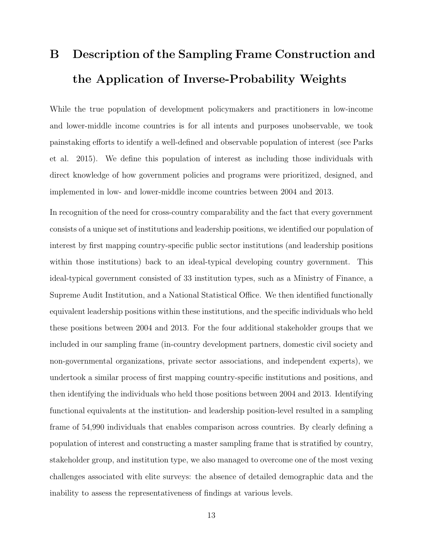# <span id="page-53-0"></span>B Description of the Sampling Frame Construction and the Application of Inverse-Probability Weights

While the true population of development policymakers and practitioners in low-income and lower-middle income countries is for all intents and purposes unobservable, we took painstaking efforts to identify a well-defined and observable population of interest (see Parks et al. 2015). We define this population of interest as including those individuals with direct knowledge of how government policies and programs were prioritized, designed, and implemented in low- and lower-middle income countries between 2004 and 2013.

In recognition of the need for cross-country comparability and the fact that every government consists of a unique set of institutions and leadership positions, we identified our population of interest by first mapping country-specific public sector institutions (and leadership positions within those institutions) back to an ideal-typical developing country government. This ideal-typical government consisted of 33 institution types, such as a Ministry of Finance, a Supreme Audit Institution, and a National Statistical Office. We then identified functionally equivalent leadership positions within these institutions, and the specific individuals who held these positions between 2004 and 2013. For the four additional stakeholder groups that we included in our sampling frame (in-country development partners, domestic civil society and non-governmental organizations, private sector associations, and independent experts), we undertook a similar process of first mapping country-specific institutions and positions, and then identifying the individuals who held those positions between 2004 and 2013. Identifying functional equivalents at the institution- and leadership position-level resulted in a sampling frame of 54,990 individuals that enables comparison across countries. By clearly defining a population of interest and constructing a master sampling frame that is stratified by country, stakeholder group, and institution type, we also managed to overcome one of the most vexing challenges associated with elite surveys: the absence of detailed demographic data and the inability to assess the representativeness of findings at various levels.